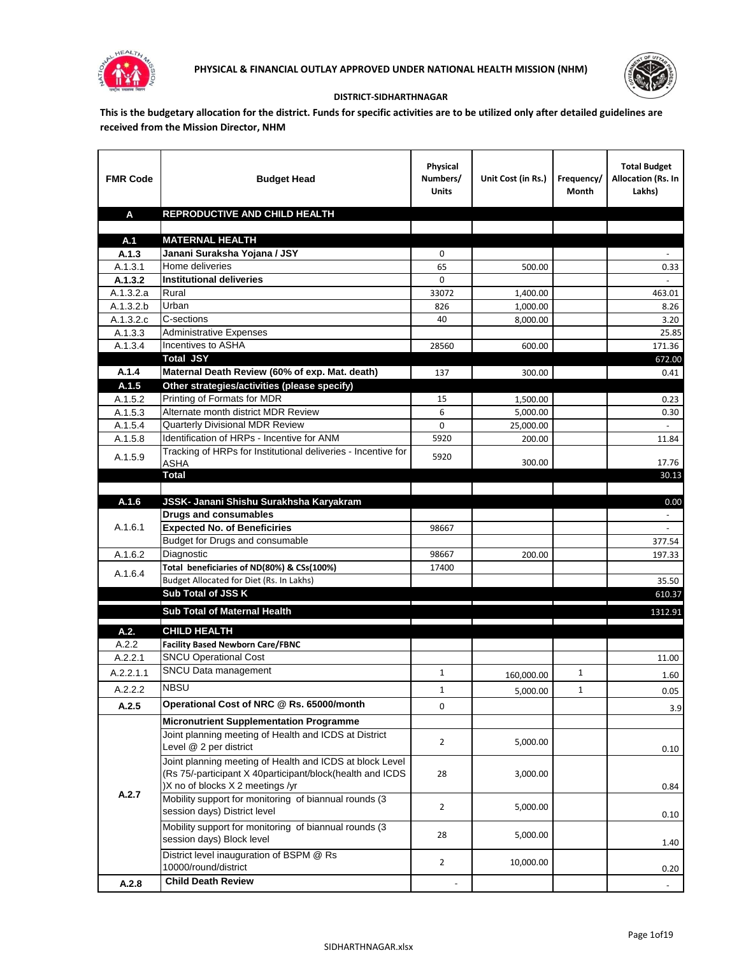



## **DISTRICT-SIDHARTHNAGAR**

**This is the budgetary allocation for the district. Funds for specific activities are to be utilized only after detailed guidelines are received from the Mission Director, NHM**

| <b>FMR Code</b>    | <b>Budget Head</b>                                                                                      | Physical<br>Numbers/<br><b>Units</b> | Unit Cost (in Rs.) | Frequency/<br>Month | <b>Total Budget</b><br>Allocation (Rs. In<br>Lakhs) |
|--------------------|---------------------------------------------------------------------------------------------------------|--------------------------------------|--------------------|---------------------|-----------------------------------------------------|
| A                  | REPRODUCTIVE AND CHILD HEALTH                                                                           |                                      |                    |                     |                                                     |
|                    |                                                                                                         |                                      |                    |                     |                                                     |
| A.1                | <b>MATERNAL HEALTH</b>                                                                                  |                                      |                    |                     |                                                     |
| A.1.3              | Janani Suraksha Yojana / JSY                                                                            | 0                                    |                    |                     |                                                     |
| A.1.3.1            | Home deliveries                                                                                         | 65                                   | 500.00             |                     | 0.33                                                |
| A.1.3.2            | <b>Institutional deliveries</b>                                                                         | 0                                    |                    |                     |                                                     |
| A.1.3.2.a          | Rural                                                                                                   | 33072                                | 1,400.00           |                     | 463.01                                              |
| A.1.3.2.b          | Urban                                                                                                   | 826                                  | 1,000.00           |                     | 8.26                                                |
| A.1.3.2.c          | C-sections<br><b>Administrative Expenses</b>                                                            | 40                                   | 8,000.00           |                     | 3.20                                                |
| A.1.3.3<br>A.1.3.4 | Incentives to ASHA                                                                                      | 28560                                | 600.00             |                     | 25.85<br>171.36                                     |
|                    | <b>Total JSY</b>                                                                                        |                                      |                    |                     | 672.00                                              |
| A.1.4              | Maternal Death Review (60% of exp. Mat. death)                                                          | 137                                  | 300.00             |                     | 0.41                                                |
| A.1.5              | Other strategies/activities (please specify)                                                            |                                      |                    |                     |                                                     |
| A.1.5.2            | Printing of Formats for MDR                                                                             | 15                                   | 1.500.00           |                     | 0.23                                                |
| A.1.5.3            | Alternate month district MDR Review                                                                     | 6                                    | 5,000.00           |                     | 0.30                                                |
| A.1.5.4            | <b>Quarterly Divisional MDR Review</b>                                                                  | 0                                    | 25,000.00          |                     |                                                     |
| A.1.5.8            | Identification of HRPs - Incentive for ANM                                                              | 5920                                 | 200.00             |                     | 11.84                                               |
|                    | Tracking of HRPs for Institutional deliveries - Incentive for                                           |                                      |                    |                     |                                                     |
| A.1.5.9            | <b>ASHA</b>                                                                                             | 5920                                 | 300.00             |                     | 17.76                                               |
|                    | <b>Total</b>                                                                                            |                                      |                    |                     | 30.13                                               |
|                    |                                                                                                         |                                      |                    |                     |                                                     |
| A.1.6              | JSSK- Janani Shishu Surakhsha Karyakram                                                                 |                                      |                    |                     | 0.00                                                |
|                    | <b>Drugs and consumables</b>                                                                            |                                      |                    |                     |                                                     |
| A.1.6.1            | <b>Expected No. of Beneficiries</b>                                                                     | 98667                                |                    |                     |                                                     |
|                    | Budget for Drugs and consumable                                                                         |                                      |                    |                     | 377.54                                              |
| A.1.6.2            | Diagnostic<br>Total beneficiaries of ND(80%) & CSs(100%)                                                | 98667                                | 200.00             |                     | 197.33                                              |
| A.1.6.4            | Budget Allocated for Diet (Rs. In Lakhs)                                                                | 17400                                |                    |                     | 35.50                                               |
|                    | Sub Total of JSS K                                                                                      |                                      |                    |                     | 610.37                                              |
|                    |                                                                                                         |                                      |                    |                     |                                                     |
|                    | Sub Total of Maternal Health                                                                            |                                      |                    |                     | 1312.91                                             |
| A.2.               | <b>CHILD HEALTH</b>                                                                                     |                                      |                    |                     |                                                     |
| A.2.2              | <b>Facility Based Newborn Care/FBNC</b>                                                                 |                                      |                    |                     |                                                     |
| A.2.2.1            | <b>SNCU Operational Cost</b>                                                                            |                                      |                    |                     | 11.00                                               |
| A.2.2.1.1          | SNCU Data management                                                                                    | $\mathbf{1}$                         | 160,000.00         | $\mathbf{1}$        | 1.60                                                |
| A.2.2.2            | <b>NBSU</b>                                                                                             | 1                                    | 5,000.00           | 1                   | 0.05                                                |
| A.2.5              | Operational Cost of NRC @ Rs. 65000/month                                                               | 0                                    |                    |                     |                                                     |
|                    |                                                                                                         |                                      |                    |                     | 3.9                                                 |
|                    | <b>Micronutrient Supplementation Programme</b><br>Joint planning meeting of Health and ICDS at District |                                      |                    |                     |                                                     |
|                    | Level @ 2 per district                                                                                  | $\overline{2}$                       | 5,000.00           |                     |                                                     |
|                    | Joint planning meeting of Health and ICDS at block Level                                                |                                      |                    |                     | 0.10                                                |
|                    | (Rs 75/-participant X 40participant/block(health and ICDS                                               | 28                                   | 3,000.00           |                     |                                                     |
|                    | )X no of blocks X 2 meetings /yr                                                                        |                                      |                    |                     | 0.84                                                |
| A.2.7              | Mobility support for monitoring of biannual rounds (3                                                   |                                      |                    |                     |                                                     |
|                    | session days) District level                                                                            | $\overline{2}$                       | 5,000.00           |                     | 0.10                                                |
|                    | Mobility support for monitoring of biannual rounds (3                                                   |                                      |                    |                     |                                                     |
|                    | session days) Block level                                                                               | 28                                   | 5,000.00           |                     | 1.40                                                |
|                    | District level inauguration of BSPM @ Rs                                                                |                                      |                    |                     |                                                     |
|                    | 10000/round/district                                                                                    | $\overline{2}$                       | 10,000.00          |                     | 0.20                                                |
| A.2.8              | <b>Child Death Review</b>                                                                               |                                      |                    |                     | $\overline{\phantom{a}}$                            |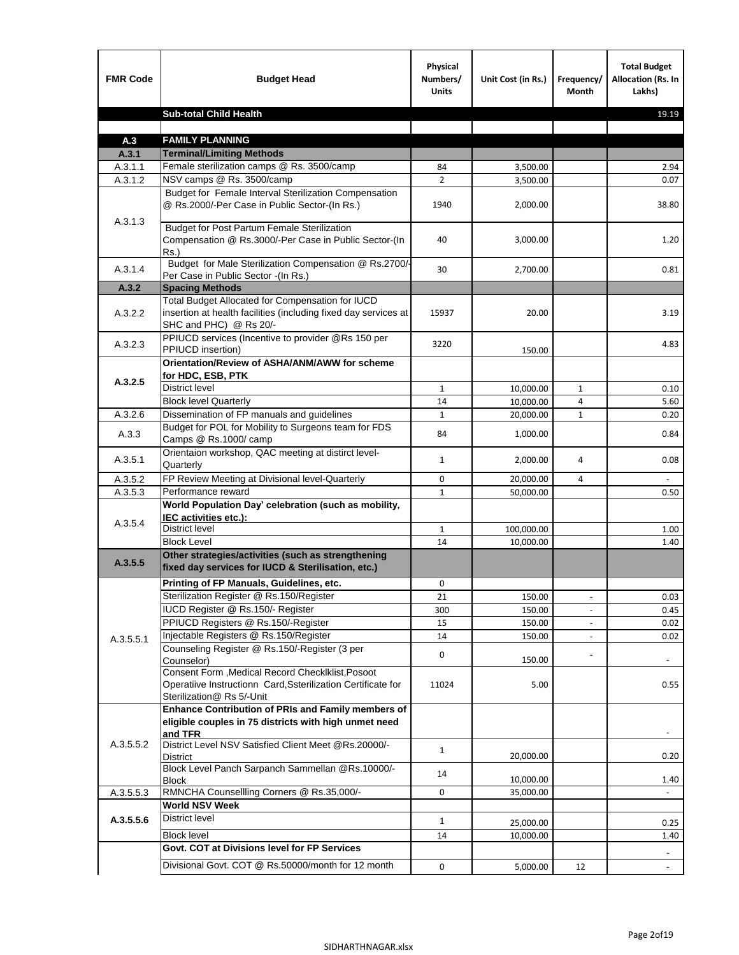| <b>FMR Code</b>    | <b>Budget Head</b>                                                                                                                             | Physical<br>Numbers/<br><b>Units</b> | Unit Cost (in Rs.) | Frequency/<br>Month      | <b>Total Budget</b><br><b>Allocation (Rs. In</b><br>Lakhs) |
|--------------------|------------------------------------------------------------------------------------------------------------------------------------------------|--------------------------------------|--------------------|--------------------------|------------------------------------------------------------|
|                    | <b>Sub-total Child Health</b>                                                                                                                  |                                      |                    |                          | 19.19                                                      |
|                    |                                                                                                                                                |                                      |                    |                          |                                                            |
| A.3                | <b>FAMILY PLANNING</b>                                                                                                                         |                                      |                    |                          |                                                            |
| A.3.1              | <b>Terminal/Limiting Methods</b>                                                                                                               |                                      |                    |                          |                                                            |
| A.3.1.1<br>A.3.1.2 | Female sterilization camps @ Rs. 3500/camp<br>NSV camps @ Rs. 3500/camp                                                                        | 84<br>$\overline{2}$                 | 3,500.00           |                          | 2.94<br>0.07                                               |
|                    | Budget for Female Interval Sterilization Compensation                                                                                          |                                      | 3,500.00           |                          |                                                            |
| A.3.1.3            | @ Rs.2000/-Per Case in Public Sector-(In Rs.)                                                                                                  | 1940                                 | 2,000.00           |                          | 38.80                                                      |
|                    | <b>Budget for Post Partum Female Sterilization</b><br>Compensation @ Rs.3000/-Per Case in Public Sector-(In<br>$Rs.$ )                         | 40                                   | 3,000.00           |                          | 1.20                                                       |
| A.3.1.4            | Budget for Male Sterilization Compensation @ Rs.2700/-<br>Per Case in Public Sector -(In Rs.)                                                  | 30                                   | 2,700.00           |                          | 0.81                                                       |
| A.3.2              | <b>Spacing Methods</b>                                                                                                                         |                                      |                    |                          |                                                            |
| A.3.2.2            | Total Budget Allocated for Compensation for IUCD<br>insertion at health facilities (including fixed day services at<br>SHC and PHC) @ Rs 20/-  | 15937                                | 20.00              |                          | 3.19                                                       |
| A.3.2.3            | PPIUCD services (Incentive to provider @Rs 150 per<br>PPIUCD insertion)                                                                        | 3220                                 | 150.00             |                          | 4.83                                                       |
| A.3.2.5            | Orientation/Review of ASHA/ANM/AWW for scheme<br>for HDC, ESB, PTK                                                                             |                                      |                    |                          |                                                            |
|                    | <b>District level</b>                                                                                                                          | $\mathbf{1}$                         | 10,000.00          | $\mathbf{1}$             | 0.10                                                       |
|                    | <b>Block level Quarterly</b>                                                                                                                   | 14                                   | 10,000.00          | 4                        | 5.60                                                       |
| A.3.2.6            | Dissemination of FP manuals and guidelines                                                                                                     | $\mathbf{1}$                         | 20,000.00          | $\mathbf{1}$             | 0.20                                                       |
| A.3.3              | Budget for POL for Mobility to Surgeons team for FDS<br>Camps @ Rs.1000/camp                                                                   | 84                                   | 1,000.00           |                          | 0.84                                                       |
| A.3.5.1            | Orientaion workshop, QAC meeting at distirct level-<br>Quarterly                                                                               | $\mathbf{1}$                         | 2,000.00           | 4                        | 0.08                                                       |
| A.3.5.2            | FP Review Meeting at Divisional level-Quarterly                                                                                                | 0                                    | 20,000.00          | 4                        |                                                            |
| A.3.5.3            | Performance reward                                                                                                                             | $\mathbf{1}$                         | 50,000.00          |                          | 0.50                                                       |
| A.3.5.4            | World Population Day' celebration (such as mobility,<br>IEC activities etc.):                                                                  |                                      |                    |                          |                                                            |
|                    | District level                                                                                                                                 | $\mathbf{1}$                         | 100,000.00         |                          | 1.00                                                       |
|                    | <b>Block Level</b>                                                                                                                             | 14                                   | 10.000.00          |                          | 1.40                                                       |
| A.3.5.5            | Other strategies/activities (such as strengthening<br>fixed day services for IUCD & Sterilisation, etc.)                                       |                                      |                    |                          |                                                            |
|                    | Printing of FP Manuals, Guidelines, etc.                                                                                                       | 0                                    |                    |                          |                                                            |
|                    | Sterilization Register @ Rs.150/Register                                                                                                       | 21                                   | 150.00             | $\overline{\phantom{a}}$ | 0.03                                                       |
|                    | IUCD Register @ Rs.150/- Register                                                                                                              | 300                                  | 150.00             |                          | 0.45                                                       |
|                    | PPIUCD Registers @ Rs.150/-Register                                                                                                            | 15                                   | 150.00             |                          | 0.02                                                       |
| A.3.5.5.1          | Injectable Registers @ Rs.150/Register                                                                                                         | 14                                   | 150.00             |                          | 0.02                                                       |
|                    | Counseling Register @ Rs.150/-Register (3 per<br>Counselor)                                                                                    | 0                                    | 150.00             |                          |                                                            |
|                    | Consent Form , Medical Record CheckIklist, Posoot<br>Operatiive Instructionn Card, Ssterilization Certificate for<br>Sterilization@ Rs 5/-Unit | 11024                                | 5.00               |                          | 0.55                                                       |
|                    | Enhance Contribution of PRIs and Family members of<br>eligible couples in 75 districts with high unmet need<br>and TFR                         |                                      |                    |                          |                                                            |
| A.3.5.5.2          | District Level NSV Satisfied Client Meet @Rs.20000/-<br>District                                                                               | $\mathbf{1}$                         | 20,000.00          |                          | 0.20                                                       |
|                    | Block Level Panch Sarpanch Sammellan @Rs.10000/-<br>Block                                                                                      | 14                                   | 10,000.00          |                          | 1.40                                                       |
| A.3.5.5.3          | RMNCHA Counsellling Corners @ Rs.35,000/-                                                                                                      | 0                                    | 35,000.00          |                          |                                                            |
|                    | <b>World NSV Week</b>                                                                                                                          |                                      |                    |                          |                                                            |
| A.3.5.5.6          | District level                                                                                                                                 | $\mathbf{1}$                         | 25,000.00          |                          | 0.25                                                       |
|                    | <b>Block level</b>                                                                                                                             | 14                                   | 10,000.00          |                          | 1.40                                                       |
|                    | Govt. COT at Divisions level for FP Services                                                                                                   |                                      |                    |                          |                                                            |
|                    | Divisional Govt. COT @ Rs.50000/month for 12 month                                                                                             | 0                                    | 5,000.00           | 12                       | $\blacksquare$                                             |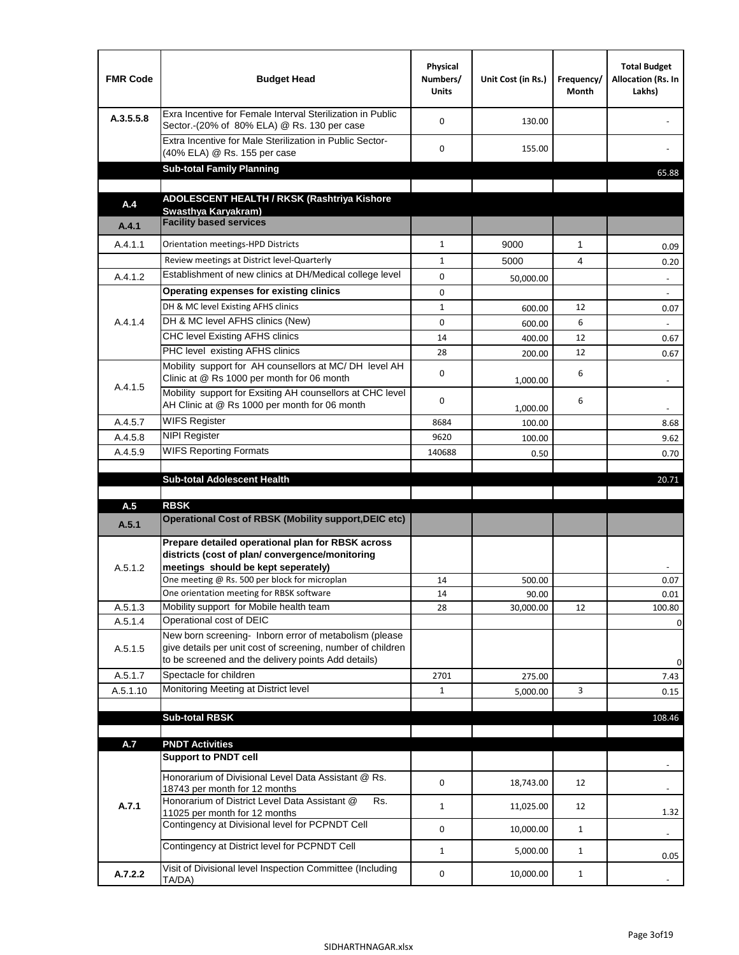| <b>FMR Code</b> | <b>Budget Head</b>                                                                                                                                                           | Physical<br>Numbers/<br><b>Units</b> | Unit Cost (in Rs.) | Frequency/<br>Month | <b>Total Budget</b><br>Allocation (Rs. In<br>Lakhs) |
|-----------------|------------------------------------------------------------------------------------------------------------------------------------------------------------------------------|--------------------------------------|--------------------|---------------------|-----------------------------------------------------|
| A.3.5.5.8       | Exra Incentive for Female Interval Sterilization in Public<br>Sector.-(20% of 80% ELA) @ Rs. 130 per case                                                                    | $\Omega$                             | 130.00             |                     |                                                     |
|                 | Extra Incentive for Male Sterilization in Public Sector-<br>(40% ELA) @ Rs. 155 per case                                                                                     | $\Omega$                             | 155.00             |                     |                                                     |
|                 | <b>Sub-total Family Planning</b>                                                                                                                                             |                                      |                    |                     | 65.88                                               |
|                 | ADOLESCENT HEALTH / RKSK (Rashtriya Kishore                                                                                                                                  |                                      |                    |                     |                                                     |
| A.4             | Swasthya Karyakram)                                                                                                                                                          |                                      |                    |                     |                                                     |
| A.4.1           | <b>Facility based services</b>                                                                                                                                               |                                      |                    |                     |                                                     |
| A.4.1.1         | Orientation meetings-HPD Districts                                                                                                                                           | $\mathbf{1}$                         | 9000               | $\mathbf{1}$        | 0.09                                                |
|                 | Review meetings at District level-Quarterly                                                                                                                                  | $\mathbf{1}$                         | 5000               | 4                   | 0.20                                                |
| A.4.1.2         | Establishment of new clinics at DH/Medical college level                                                                                                                     | $\Omega$                             | 50,000.00          |                     | $\overline{\phantom{a}}$                            |
|                 | Operating expenses for existing clinics                                                                                                                                      | 0                                    |                    |                     |                                                     |
|                 | DH & MC level Existing AFHS clinics                                                                                                                                          | $\mathbf{1}$                         | 600.00             | 12                  | 0.07                                                |
| A.4.1.4         | DH & MC level AFHS clinics (New)                                                                                                                                             | 0                                    | 600.00             | 6                   |                                                     |
|                 | <b>CHC level Existing AFHS clinics</b>                                                                                                                                       | 14                                   | 400.00             | 12                  | 0.67                                                |
|                 | PHC level existing AFHS clinics                                                                                                                                              | 28                                   | 200.00             | 12                  | 0.67                                                |
| A.4.1.5         | Mobility support for AH counsellors at MC/DH level AH<br>Clinic at @ Rs 1000 per month for 06 month                                                                          | 0                                    | 1,000.00           | 6                   |                                                     |
|                 | Mobility support for Exsiting AH counsellors at CHC level<br>AH Clinic at @ Rs 1000 per month for 06 month                                                                   | 0                                    | 1,000.00           | 6                   |                                                     |
| A.4.5.7         | <b>WIFS Register</b>                                                                                                                                                         | 8684                                 | 100.00             |                     | 8.68                                                |
| A.4.5.8         | <b>NIPI Register</b>                                                                                                                                                         | 9620                                 | 100.00             |                     | 9.62                                                |
| A.4.5.9         | <b>WIFS Reporting Formats</b>                                                                                                                                                | 140688                               | 0.50               |                     | 0.70                                                |
|                 |                                                                                                                                                                              |                                      |                    |                     |                                                     |
|                 | <b>Sub-total Adolescent Health</b>                                                                                                                                           |                                      |                    |                     | 20.71                                               |
| A.5             | <b>RBSK</b>                                                                                                                                                                  |                                      |                    |                     |                                                     |
| A.5.1           | Operational Cost of RBSK (Mobility support, DEIC etc)                                                                                                                        |                                      |                    |                     |                                                     |
| A.5.1.2         | Prepare detailed operational plan for RBSK across<br>districts (cost of plan/convergence/monitoring<br>meetings should be kept seperately)                                   |                                      |                    |                     |                                                     |
|                 | One meeting @ Rs. 500 per block for microplan                                                                                                                                | 14                                   | 500.00             |                     | 0.07                                                |
|                 | One orientation meeting for RBSK software                                                                                                                                    | 14                                   | 90.00              |                     | 0.01                                                |
| A.5.1.3         | Mobility support for Mobile health team                                                                                                                                      | 28                                   | 30,000.00          | 12                  | 100.80                                              |
| A.5.1.4         | Operational cost of DEIC                                                                                                                                                     |                                      |                    |                     | 0                                                   |
| A.5.1.5         | New born screening- Inborn error of metabolism (please<br>give details per unit cost of screening, number of children<br>to be screened and the delivery points Add details) |                                      |                    |                     | 0                                                   |
| A.5.1.7         | Spectacle for children                                                                                                                                                       | 2701                                 | 275.00             |                     | 7.43                                                |
| A.5.1.10        | Monitoring Meeting at District level                                                                                                                                         | $\mathbf{1}$                         | 5,000.00           | 3                   | 0.15                                                |
|                 |                                                                                                                                                                              |                                      |                    |                     |                                                     |
|                 | <b>Sub-total RBSK</b>                                                                                                                                                        |                                      |                    |                     | 108.46                                              |
|                 |                                                                                                                                                                              |                                      |                    |                     |                                                     |
| A.7             | <b>PNDT Activities</b><br><b>Support to PNDT cell</b>                                                                                                                        |                                      |                    |                     |                                                     |
|                 | Honorarium of Divisional Level Data Assistant @ Rs.                                                                                                                          | 0                                    | 18,743.00          | 12                  |                                                     |
| A.7.1           | 18743 per month for 12 months<br>Honorarium of District Level Data Assistant @<br>Rs.                                                                                        | $\mathbf{1}$                         | 11,025.00          | 12                  |                                                     |
|                 | 11025 per month for 12 months<br>Contingency at Divisional level for PCPNDT Cell                                                                                             | 0                                    | 10,000.00          | $\mathbf{1}$        | 1.32<br>$\overline{\phantom{a}}$                    |
|                 | Contingency at District level for PCPNDT Cell                                                                                                                                | $\mathbf{1}$                         | 5,000.00           | $\mathbf{1}$        | 0.05                                                |
| A.7.2.2         | Visit of Divisional level Inspection Committee (Including<br>TA/DA)                                                                                                          | 0                                    | 10,000.00          | $\mathbf{1}$        |                                                     |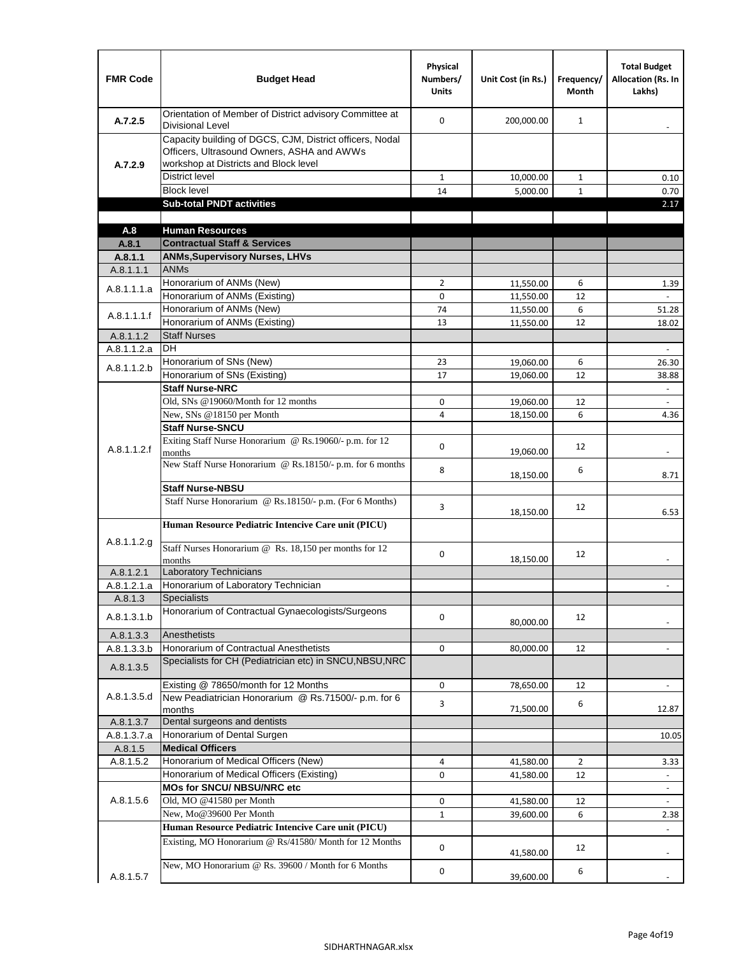| <b>FMR Code</b>      | <b>Budget Head</b>                                                                                                                              | Physical<br>Numbers/<br><b>Units</b> | Unit Cost (in Rs.)     | Frequency/<br><b>Month</b> | <b>Total Budget</b><br><b>Allocation (Rs. In</b><br>Lakhs) |
|----------------------|-------------------------------------------------------------------------------------------------------------------------------------------------|--------------------------------------|------------------------|----------------------------|------------------------------------------------------------|
| A.7.2.5              | Orientation of Member of District advisory Committee at<br><b>Divisional Level</b>                                                              | $\Omega$                             | 200,000.00             | $\mathbf{1}$               | $\blacksquare$                                             |
| A.7.2.9              | Capacity building of DGCS, CJM, District officers, Nodal<br>Officers, Ultrasound Owners, ASHA and AWWs<br>workshop at Districts and Block level |                                      |                        |                            |                                                            |
|                      | <b>District level</b>                                                                                                                           | $\mathbf{1}$                         | 10,000.00              | 1                          | 0.10                                                       |
|                      | <b>Block level</b>                                                                                                                              | 14                                   | 5,000.00               | $\mathbf{1}$               | 0.70                                                       |
|                      | <b>Sub-total PNDT activities</b>                                                                                                                |                                      |                        |                            | 2.17                                                       |
|                      |                                                                                                                                                 |                                      |                        |                            |                                                            |
| A.8                  | <b>Human Resources</b>                                                                                                                          |                                      |                        |                            |                                                            |
| A.8.1                | <b>Contractual Staff &amp; Services</b>                                                                                                         |                                      |                        |                            |                                                            |
| A.8.1.1<br>A.8.1.1.1 | <b>ANMs, Supervisory Nurses, LHVs</b><br><b>ANMs</b>                                                                                            |                                      |                        |                            |                                                            |
|                      | Honorarium of ANMs (New)                                                                                                                        | $\overline{2}$                       |                        | 6                          |                                                            |
| A.8.1.1.1.a          | Honorarium of ANMs (Existing)                                                                                                                   | 0                                    | 11,550.00<br>11,550.00 | 12                         | 1.39                                                       |
|                      | Honorarium of ANMs (New)                                                                                                                        | 74                                   | 11,550.00              | 6                          | 51.28                                                      |
| A.8.1.1.1.f          | Honorarium of ANMs (Existing)                                                                                                                   | 13                                   | 11,550.00              | 12                         | 18.02                                                      |
| A.8.1.1.2            | <b>Staff Nurses</b>                                                                                                                             |                                      |                        |                            |                                                            |
| A.8.1.1.2.a          | <b>DH</b>                                                                                                                                       |                                      |                        |                            | $\Box$                                                     |
|                      | Honorarium of SNs (New)                                                                                                                         | 23                                   | 19,060.00              | 6                          | 26.30                                                      |
| A.8.1.1.2.b          | Honorarium of SNs (Existing)                                                                                                                    | 17                                   | 19,060.00              | 12                         | 38.88                                                      |
|                      | <b>Staff Nurse-NRC</b>                                                                                                                          |                                      |                        |                            | $\blacksquare$                                             |
|                      | Old, SNs @19060/Month for 12 months                                                                                                             | 0                                    | 19,060.00              | 12                         | $\blacksquare$                                             |
|                      | New, SNs @18150 per Month                                                                                                                       | 4                                    | 18,150.00              | 6                          | 4.36                                                       |
|                      | <b>Staff Nurse-SNCU</b>                                                                                                                         |                                      |                        |                            |                                                            |
| A.8.1.1.2.f          | Exiting Staff Nurse Honorarium @ Rs.19060/- p.m. for 12<br>months                                                                               | $\Omega$                             | 19,060.00              | 12                         | -                                                          |
|                      | New Staff Nurse Honorarium @ Rs.18150/- p.m. for 6 months<br><b>Staff Nurse-NBSU</b>                                                            | 8                                    | 18,150.00              | 6                          | 8.71                                                       |
|                      |                                                                                                                                                 |                                      |                        |                            |                                                            |
|                      | Staff Nurse Honorarium @ Rs.18150/- p.m. (For 6 Months)<br>Human Resource Pediatric Intencive Care unit (PICU)                                  | 3                                    | 18,150.00              | 12                         | 6.53                                                       |
|                      |                                                                                                                                                 |                                      |                        |                            |                                                            |
| A.8.1.1.2.g          | Staff Nurses Honorarium @ Rs. 18,150 per months for 12<br>months                                                                                | 0                                    | 18,150.00              | 12                         |                                                            |
| A.8.1.2.1            | <b>Laboratory Technicians</b>                                                                                                                   |                                      |                        |                            |                                                            |
| A.8.1.2.1.a          | Honorarium of Laboratory Technician                                                                                                             |                                      |                        |                            |                                                            |
| A.8.1.3              | <b>Specialists</b>                                                                                                                              |                                      |                        |                            |                                                            |
| A.8.1.3.1.b          | Honorarium of Contractual Gynaecologists/Surgeons                                                                                               | $\mathbf 0$                          | 80,000.00              | 12                         |                                                            |
| A.8.1.3.3            | Anesthetists                                                                                                                                    |                                      |                        |                            |                                                            |
| A.8.1.3.3.b          | Honorarium of Contractual Anesthetists<br>Specialists for CH (Pediatrician etc) in SNCU, NBSU, NRC                                              | 0                                    | 80,000.00              | 12                         |                                                            |
| A.8.1.3.5            |                                                                                                                                                 |                                      |                        |                            |                                                            |
|                      | Existing @ 78650/month for 12 Months                                                                                                            | 0                                    | 78,650.00              | 12                         | $\blacksquare$                                             |
| A.8.1.3.5.d          | New Peadiatrician Honorarium @ Rs.71500/- p.m. for 6<br>months                                                                                  | 3                                    | 71,500.00              | 6                          | 12.87                                                      |
| A.8.1.3.7            | Dental surgeons and dentists                                                                                                                    |                                      |                        |                            |                                                            |
| A.8.1.3.7.a          | Honorarium of Dental Surgen                                                                                                                     |                                      |                        |                            | 10.05                                                      |
| A.8.1.5              | <b>Medical Officers</b>                                                                                                                         |                                      |                        |                            |                                                            |
| A.8.1.5.2            | Honorarium of Medical Officers (New)                                                                                                            | 4                                    | 41,580.00              | $\overline{2}$             | 3.33                                                       |
|                      | Honorarium of Medical Officers (Existing)                                                                                                       | 0                                    | 41,580.00              | 12                         |                                                            |
|                      | MOs for SNCU/ NBSU/NRC etc                                                                                                                      |                                      |                        |                            |                                                            |
| A.8.1.5.6            | Old, MO @41580 per Month                                                                                                                        | 0                                    | 41,580.00              | 12                         | $\blacksquare$                                             |
|                      | New, Mo@39600 Per Month                                                                                                                         | $\mathbf{1}$                         | 39,600.00              | 6                          | 2.38                                                       |
|                      | Human Resource Pediatric Intencive Care unit (PICU)                                                                                             |                                      |                        |                            |                                                            |
|                      | Existing, MO Honorarium @ Rs/41580/ Month for 12 Months                                                                                         | $\mathbf 0$                          | 41,580.00              | 12                         |                                                            |
| A.8.1.5.7            | New, MO Honorarium @ Rs. 39600 / Month for 6 Months                                                                                             | 0                                    | 39,600.00              | 6                          |                                                            |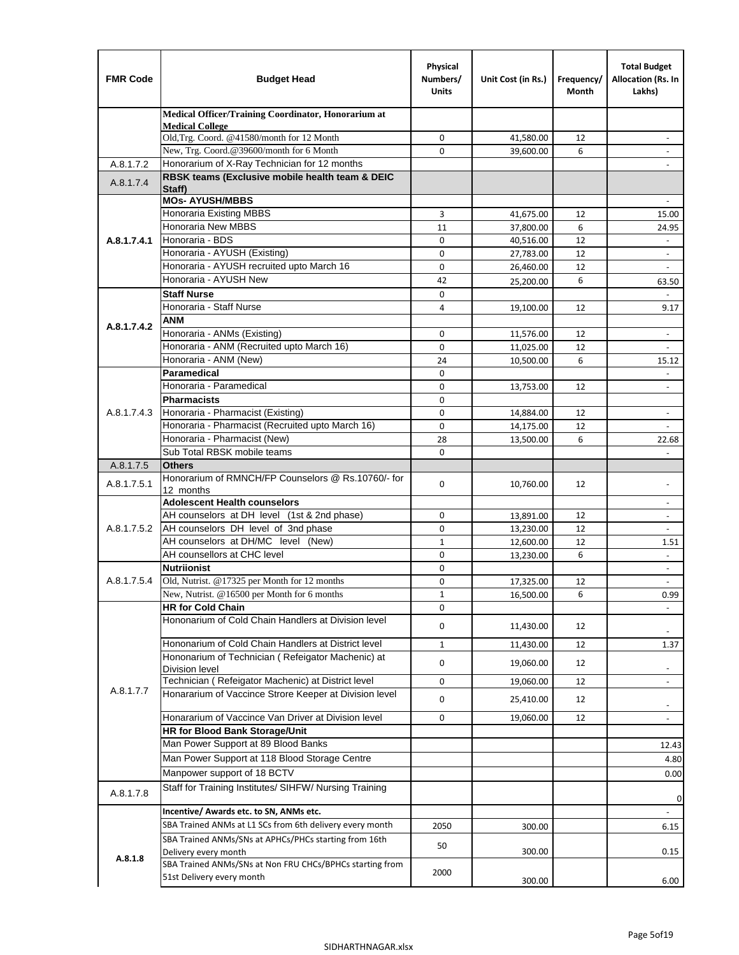| <b>FMR Code</b> | <b>Budget Head</b>                                                                 | Physical<br>Numbers/<br><b>Units</b> | Unit Cost (in Rs.)     | Frequency/<br>Month | <b>Total Budget</b><br>Allocation (Rs. In<br>Lakhs)  |
|-----------------|------------------------------------------------------------------------------------|--------------------------------------|------------------------|---------------------|------------------------------------------------------|
|                 | Medical Officer/Training Coordinator, Honorarium at                                |                                      |                        |                     |                                                      |
|                 | <b>Medical College</b><br>Old, Trg. Coord. @41580/month for 12 Month               | $\mathbf 0$                          | 41,580.00              | 12                  |                                                      |
|                 | New, Trg. Coord.@39600/month for 6 Month                                           | $\Omega$                             | 39,600.00              | 6                   |                                                      |
| A.8.1.7.2       | Honorarium of X-Ray Technician for 12 months                                       |                                      |                        |                     |                                                      |
| A.8.1.7.4       | RBSK teams (Exclusive mobile health team & DEIC                                    |                                      |                        |                     |                                                      |
|                 | Staff)                                                                             |                                      |                        |                     |                                                      |
|                 | <b>MOs- AYUSH/MBBS</b><br><b>Honoraria Existing MBBS</b>                           | 3                                    |                        |                     |                                                      |
|                 | Honoraria New MBBS                                                                 | 11                                   | 41,675.00<br>37,800.00 | 12<br>6             | 15.00<br>24.95                                       |
| A.8.1.7.4.1     | Honoraria - BDS                                                                    | $\mathbf 0$                          | 40,516.00              | 12                  |                                                      |
|                 | Honoraria - AYUSH (Existing)                                                       | $\mathbf 0$                          | 27,783.00              | 12                  | $\overline{\phantom{a}}$                             |
|                 | Honoraria - AYUSH recruited upto March 16                                          | $\mathbf 0$                          | 26,460.00              | 12                  |                                                      |
|                 | Honoraria - AYUSH New                                                              | 42                                   | 25,200.00              | 6                   | 63.50                                                |
|                 | <b>Staff Nurse</b>                                                                 | $\Omega$                             |                        |                     |                                                      |
|                 | Honoraria - Staff Nurse                                                            | 4                                    | 19,100.00              | 12                  | 9.17                                                 |
| A.8.1.7.4.2     | <b>ANM</b>                                                                         |                                      |                        |                     |                                                      |
|                 | Honoraria - ANMs (Existing)                                                        | $\mathbf 0$                          | 11,576.00              | 12                  | ÷,                                                   |
|                 | Honoraria - ANM (Recruited upto March 16)                                          | 0                                    | 11,025.00              | 12                  | $\blacksquare$                                       |
|                 | Honoraria - ANM (New)                                                              | 24                                   | 10,500.00              | 6                   | 15.12                                                |
|                 | Paramedical<br>Honoraria - Paramedical                                             | $\mathbf 0$                          |                        |                     | $\blacksquare$                                       |
|                 | <b>Pharmacists</b>                                                                 | 0<br>$\mathbf 0$                     | 13,753.00              | 12                  | $\overline{\phantom{a}}$                             |
| A.8.1.7.4.3     | Honoraria - Pharmacist (Existing)                                                  | $\mathbf 0$                          | 14,884.00              | 12                  | $\overline{\phantom{a}}$                             |
|                 | Honoraria - Pharmacist (Recruited upto March 16)                                   | $\mathbf 0$                          | 14,175.00              | 12                  |                                                      |
|                 | Honoraria - Pharmacist (New)                                                       | 28                                   | 13,500.00              | 6                   | 22.68                                                |
|                 | Sub Total RBSK mobile teams                                                        | $\Omega$                             |                        |                     | $\overline{\phantom{a}}$                             |
| A.8.1.7.5       | <b>Others</b>                                                                      |                                      |                        |                     |                                                      |
| A.8.1.7.5.1     | Honorarium of RMNCH/FP Counselors @ Rs.10760/- for                                 | $\mathbf 0$                          | 10,760.00              | 12                  | $\overline{\phantom{a}}$                             |
|                 | 12 months                                                                          |                                      |                        |                     |                                                      |
|                 | <b>Adolescent Health counselors</b>                                                |                                      |                        |                     | $\overline{\phantom{a}}$                             |
| A.8.1.7.5.2     | AH counselors at DH level (1st & 2nd phase)<br>AH counselors DH level of 3nd phase | 0<br>$\mathbf 0$                     | 13,891.00              | 12<br>12            | $\overline{\phantom{a}}$<br>$\overline{\phantom{a}}$ |
|                 | AH counselors at DH/MC level (New)                                                 | $\mathbf{1}$                         | 13,230.00<br>12,600.00 | 12                  | 1.51                                                 |
|                 | AH counsellors at CHC level                                                        | 0                                    | 13,230.00              | 6                   | ÷,                                                   |
|                 | <b>Nutriionist</b>                                                                 | 0                                    |                        |                     | $\overline{\phantom{a}}$                             |
| A.8.1.7.5.4     | Old, Nutrist. @17325 per Month for 12 months                                       | 0                                    | 17,325.00              | 12                  | $\overline{\phantom{a}}$                             |
|                 | New, Nutrist. $@16500$ per Month for 6 months                                      | 1                                    | 16,500.00              | 6                   | 0.99                                                 |
|                 | <b>HR for Cold Chain</b>                                                           | 0                                    |                        |                     |                                                      |
|                 | Hononarium of Cold Chain Handlers at Division level                                | 0                                    | 11,430.00              | 12                  |                                                      |
|                 | Hononarium of Cold Chain Handlers at District level                                | $\mathbf{1}$                         | 11,430.00              | 12                  | 1.37                                                 |
|                 | Hononarium of Technician (Refeigator Machenic) at                                  |                                      |                        |                     |                                                      |
|                 | <b>Division level</b>                                                              | 0                                    | 19,060.00              | 12                  | $\overline{\phantom{a}}$                             |
|                 | Technician (Refeigator Machenic) at District level                                 | 0                                    | 19,060.00              | 12                  | $\blacksquare$                                       |
| A.8.1.7.7       | Honararium of Vaccince Strore Keeper at Division level                             | 0                                    | 25,410.00              | 12                  | $\overline{\phantom{a}}$                             |
|                 | Honararium of Vaccince Van Driver at Division level                                | 0                                    | 19,060.00              | 12                  | $\overline{\phantom{a}}$                             |
|                 | HR for Blood Bank Storage/Unit                                                     |                                      |                        |                     |                                                      |
|                 | Man Power Support at 89 Blood Banks                                                |                                      |                        |                     | 12.43                                                |
|                 | Man Power Support at 118 Blood Storage Centre                                      |                                      |                        |                     | 4.80                                                 |
|                 | Manpower support of 18 BCTV                                                        |                                      |                        |                     | 0.00                                                 |
| A.8.1.7.8       | Staff for Training Institutes/ SIHFW/ Nursing Training                             |                                      |                        |                     | 0                                                    |
|                 | Incentive/ Awards etc. to SN, ANMs etc.                                            |                                      |                        |                     | $\blacksquare$                                       |
|                 | SBA Trained ANMs at L1 SCs from 6th delivery every month                           | 2050                                 | 300.00                 |                     | 6.15                                                 |
|                 | SBA Trained ANMs/SNs at APHCs/PHCs starting from 16th                              | 50                                   |                        |                     |                                                      |
| A.8.1.8         | Delivery every month<br>SBA Trained ANMs/SNs at Non FRU CHCs/BPHCs starting from   |                                      | 300.00                 |                     | 0.15                                                 |
|                 | 51st Delivery every month                                                          | 2000                                 |                        |                     |                                                      |
|                 |                                                                                    |                                      | 300.00                 |                     | 6.00                                                 |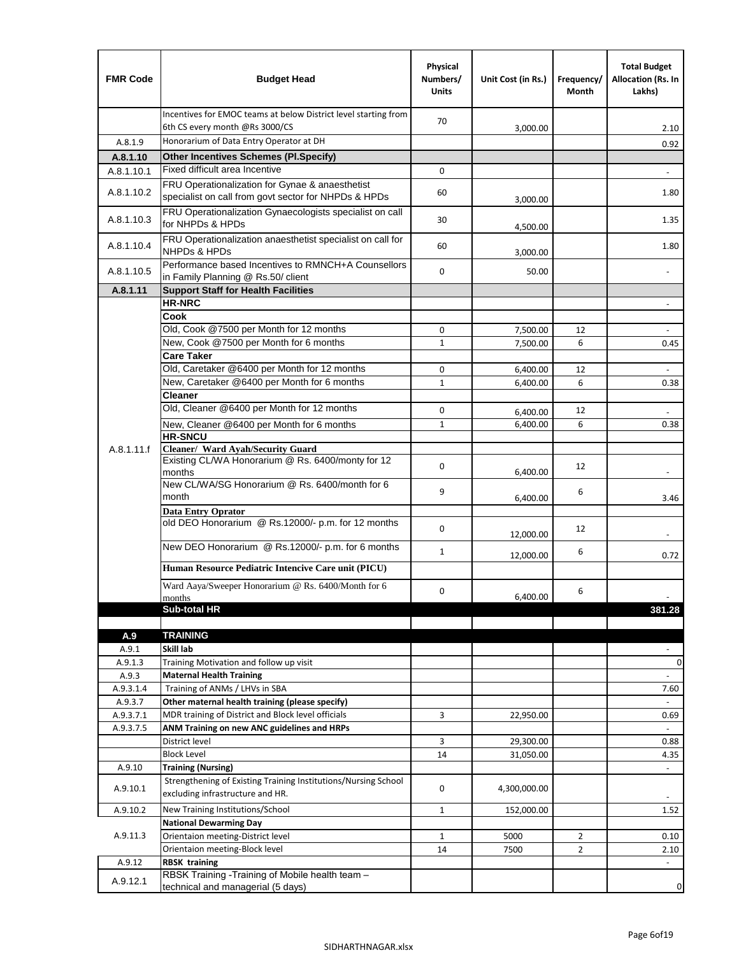| <b>FMR Code</b> | <b>Budget Head</b>                                                                                 | Physical<br>Numbers/<br><b>Units</b> | Unit Cost (in Rs.) | Frequency/<br>Month | <b>Total Budget</b><br>Allocation (Rs. In<br>Lakhs) |
|-----------------|----------------------------------------------------------------------------------------------------|--------------------------------------|--------------------|---------------------|-----------------------------------------------------|
|                 | Incentives for EMOC teams at below District level starting from<br>6th CS every month @Rs 3000/CS  | 70                                   | 3,000.00           |                     | 2.10                                                |
| A.8.1.9         | Honorarium of Data Entry Operator at DH                                                            |                                      |                    |                     | 0.92                                                |
| A.8.1.10        | <b>Other Incentives Schemes (PI.Specify)</b>                                                       |                                      |                    |                     |                                                     |
| A.8.1.10.1      | Fixed difficult area Incentive                                                                     | 0                                    |                    |                     |                                                     |
|                 | FRU Operationalization for Gynae & anaesthetist                                                    |                                      |                    |                     |                                                     |
| A.8.1.10.2      | specialist on call from govt sector for NHPDs & HPDs                                               | 60                                   | 3,000.00           |                     | 1.80                                                |
| A.8.1.10.3      | FRU Operationalization Gynaecologists specialist on call<br>for NHPDs & HPDs                       | 30                                   | 4,500.00           |                     | 1.35                                                |
| A.8.1.10.4      | FRU Operationalization anaesthetist specialist on call for<br><b>NHPDs &amp; HPDs</b>              | 60                                   | 3,000.00           |                     | 1.80                                                |
| A.8.1.10.5      | Performance based Incentives to RMNCH+A Counsellors<br>in Family Planning @ Rs.50/ client          | $\mathbf 0$                          | 50.00              |                     | $\overline{\phantom{a}}$                            |
| A.8.1.11        | <b>Support Staff for Health Facilities</b>                                                         |                                      |                    |                     |                                                     |
|                 | <b>HR-NRC</b>                                                                                      |                                      |                    |                     | $\blacksquare$                                      |
|                 | Cook                                                                                               |                                      |                    |                     |                                                     |
|                 | Old, Cook @7500 per Month for 12 months                                                            | 0                                    | 7,500.00           | 12                  | ÷,                                                  |
|                 | New, Cook @7500 per Month for 6 months                                                             | $\mathbf{1}$                         | 7,500.00           | 6                   | 0.45                                                |
|                 | <b>Care Taker</b>                                                                                  |                                      |                    |                     |                                                     |
|                 | Old, Caretaker @6400 per Month for 12 months                                                       | 0                                    | 6,400.00           | 12                  |                                                     |
|                 | New, Caretaker @6400 per Month for 6 months                                                        | $\mathbf{1}$                         | 6,400.00           | 6                   | 0.38                                                |
|                 | <b>Cleaner</b>                                                                                     |                                      |                    |                     |                                                     |
|                 | Old, Cleaner @6400 per Month for 12 months                                                         | 0                                    | 6,400.00           | 12                  |                                                     |
|                 | New, Cleaner @6400 per Month for 6 months                                                          | $\mathbf{1}$                         | 6,400.00           | 6                   | 0.38                                                |
|                 | <b>HR-SNCU</b>                                                                                     |                                      |                    |                     |                                                     |
| A.8.1.11.f      | Cleaner/ Ward Ayah/Security Guard                                                                  |                                      |                    |                     |                                                     |
|                 | Existing CL/WA Honorarium @ Rs. 6400/monty for 12<br>months                                        | $\mathbf 0$                          | 6,400.00           | 12                  |                                                     |
|                 | New CL/WA/SG Honorarium @ Rs. 6400/month for 6                                                     |                                      |                    |                     |                                                     |
|                 | month                                                                                              | 9                                    | 6,400.00           | 6                   | 3.46                                                |
|                 | <b>Data Entry Oprator</b>                                                                          |                                      |                    |                     |                                                     |
|                 | old DEO Honorarium @ Rs.12000/- p.m. for 12 months                                                 | $\mathbf 0$                          |                    |                     |                                                     |
|                 |                                                                                                    |                                      | 12,000.00          | 12                  |                                                     |
|                 | New DEO Honorarium @ Rs.12000/- p.m. for 6 months                                                  | $\mathbf{1}$                         | 12,000.00          | 6                   | 0.72                                                |
|                 | Human Resource Pediatric Intencive Care unit (PICU)                                                |                                      |                    |                     |                                                     |
|                 |                                                                                                    |                                      |                    |                     |                                                     |
|                 | Ward Aaya/Sweeper Honorarium @ Rs. 6400/Month for 6<br>months                                      | 0                                    | 6,400.00           | 6                   |                                                     |
|                 | Sub-total HR                                                                                       |                                      |                    |                     | 381.28                                              |
|                 |                                                                                                    |                                      |                    |                     |                                                     |
| A.9             | <b>TRAINING</b>                                                                                    |                                      |                    |                     |                                                     |
| A.9.1           | Skill lab                                                                                          |                                      |                    |                     |                                                     |
| A.9.1.3         | Training Motivation and follow up visit                                                            |                                      |                    |                     | 0                                                   |
| A.9.3           | <b>Maternal Health Training</b>                                                                    |                                      |                    |                     |                                                     |
| A.9.3.1.4       | Training of ANMs / LHVs in SBA                                                                     |                                      |                    |                     | 7.60                                                |
| A.9.3.7         | Other maternal health training (please specify)                                                    |                                      |                    |                     |                                                     |
| A.9.3.7.1       | MDR training of District and Block level officials                                                 | 3                                    | 22,950.00          |                     | 0.69                                                |
| A.9.3.7.5       | ANM Training on new ANC guidelines and HRPs                                                        |                                      |                    |                     | $\omega$                                            |
|                 | District level                                                                                     | 3                                    | 29,300.00          |                     | 0.88                                                |
|                 | <b>Block Level</b>                                                                                 | 14                                   | 31,050.00          |                     | 4.35                                                |
| A.9.10          | <b>Training (Nursing)</b>                                                                          |                                      |                    |                     | ÷,                                                  |
| A.9.10.1        | Strengthening of Existing Training Institutions/Nursing School<br>excluding infrastructure and HR. | 0                                    | 4,300,000.00       |                     |                                                     |
| A.9.10.2        | New Training Institutions/School                                                                   | 1                                    | 152,000.00         |                     | 1.52                                                |
|                 | <b>National Dewarming Day</b>                                                                      |                                      |                    |                     |                                                     |
| A.9.11.3        | Orientaion meeting-District level                                                                  | $\mathbf{1}$                         | 5000               | $\overline{2}$      | 0.10                                                |
|                 | Orientaion meeting-Block level                                                                     | 14                                   | 7500               | $\overline{2}$      | 2.10                                                |
| A.9.12          | <b>RBSK training</b>                                                                               |                                      |                    |                     | $\overline{\phantom{a}}$                            |
| A.9.12.1        | RBSK Training -Training of Mobile health team -                                                    |                                      |                    |                     |                                                     |
|                 | technical and managerial (5 days)                                                                  |                                      |                    |                     | 0                                                   |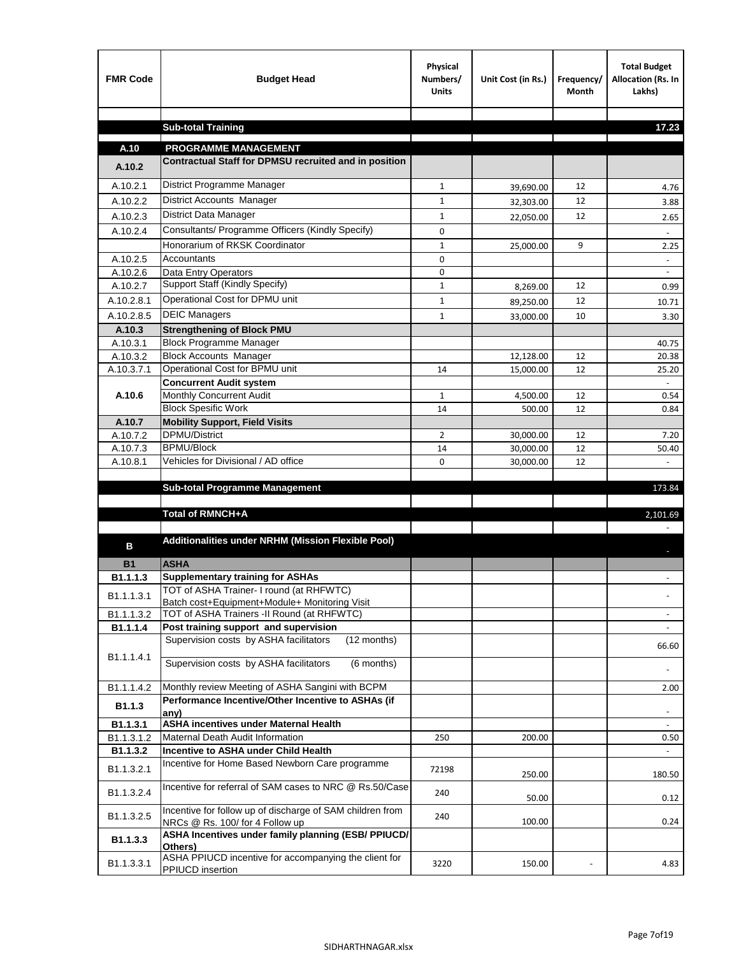| <b>FMR Code</b>    | <b>Budget Head</b>                                                                           | Physical<br>Numbers/<br><b>Units</b> | Unit Cost (in Rs.) | Frequency/<br><b>Month</b> | <b>Total Budget</b><br>Allocation (Rs. In<br>Lakhs) |
|--------------------|----------------------------------------------------------------------------------------------|--------------------------------------|--------------------|----------------------------|-----------------------------------------------------|
|                    |                                                                                              |                                      |                    |                            |                                                     |
|                    | <b>Sub-total Training</b>                                                                    |                                      |                    |                            | 17.23                                               |
| A.10               | <b>PROGRAMME MANAGEMENT</b>                                                                  |                                      |                    |                            |                                                     |
| A.10.2             | Contractual Staff for DPMSU recruited and in position                                        |                                      |                    |                            |                                                     |
| A.10.2.1           | District Programme Manager                                                                   | $\mathbf{1}$                         | 39,690.00          | 12                         | 4.76                                                |
| A.10.2.2           | District Accounts Manager                                                                    | 1                                    | 32,303.00          | 12                         | 3.88                                                |
| A.10.2.3           | District Data Manager                                                                        | $\mathbf{1}$                         |                    | 12                         |                                                     |
| A.10.2.4           | Consultants/ Programme Officers (Kindly Specify)                                             | $\mathbf 0$                          | 22,050.00          |                            | 2.65                                                |
|                    | Honorarium of RKSK Coordinator                                                               | $\mathbf{1}$                         | 25,000.00          | 9                          | 2.25                                                |
| A.10.2.5           | Accountants                                                                                  | 0                                    |                    |                            |                                                     |
| A.10.2.6           | Data Entry Operators                                                                         | 0                                    |                    |                            | $\overline{\phantom{a}}$                            |
| A.10.2.7           | Support Staff (Kindly Specify)                                                               | $\mathbf{1}$                         | 8,269.00           | 12                         | 0.99                                                |
| A.10.2.8.1         | Operational Cost for DPMU unit                                                               | $\mathbf{1}$                         | 89,250.00          | 12                         | 10.71                                               |
| A.10.2.8.5         | <b>DEIC Managers</b>                                                                         | $\mathbf{1}$                         | 33,000.00          | 10                         | 3.30                                                |
| A.10.3             | <b>Strengthening of Block PMU</b>                                                            |                                      |                    |                            |                                                     |
| A.10.3.1           | <b>Block Programme Manager</b>                                                               |                                      |                    |                            | 40.75                                               |
| A.10.3.2           | <b>Block Accounts Manager</b>                                                                |                                      | 12,128.00          | 12                         | 20.38                                               |
| A.10.3.7.1         | Operational Cost for BPMU unit                                                               | 14                                   | 15,000.00          | 12                         | 25.20                                               |
| A.10.6             | <b>Concurrent Audit system</b><br>Monthly Concurrent Audit                                   | $\mathbf{1}$                         |                    | 12                         | 0.54                                                |
|                    | <b>Block Spesific Work</b>                                                                   | 14                                   | 4,500.00<br>500.00 | 12                         | 0.84                                                |
| A.10.7             | <b>Mobility Support, Field Visits</b>                                                        |                                      |                    |                            |                                                     |
| A.10.7.2           | <b>DPMU/District</b>                                                                         | 2                                    | 30,000.00          | 12                         | 7.20                                                |
| A.10.7.3           | <b>BPMU/Block</b>                                                                            | 14                                   | 30,000.00          | 12                         | 50.40                                               |
| A.10.8.1           | Vehicles for Divisional / AD office                                                          | 0                                    | 30,000.00          | 12                         |                                                     |
|                    |                                                                                              |                                      |                    |                            |                                                     |
|                    | <b>Sub-total Programme Management</b>                                                        |                                      |                    |                            | 173.84                                              |
|                    | Total of RMNCH+A                                                                             |                                      |                    |                            | 2,101.69                                            |
|                    |                                                                                              |                                      |                    |                            |                                                     |
| в                  | Additionalities under NRHM (Mission Flexible Pool)                                           |                                      |                    |                            |                                                     |
|                    |                                                                                              |                                      |                    |                            |                                                     |
| <b>B1</b>          | <b>ASHA</b>                                                                                  |                                      |                    |                            |                                                     |
| B1.1.1.3           | <b>Supplementary training for ASHAs</b><br>TOT of ASHA Trainer- I round (at RHFWTC)          |                                      |                    |                            |                                                     |
| B1.1.1.3.1         | Batch cost+Equipment+Module+ Monitoring Visit                                                |                                      |                    |                            |                                                     |
| B1.1.1.3.2         | TOT of ASHA Trainers -II Round (at RHFWTC)                                                   |                                      |                    |                            |                                                     |
| B1.1.1.4           | Post training support and supervision                                                        |                                      |                    |                            | $\sim$                                              |
|                    | Supervision costs by ASHA facilitators<br>(12 months)                                        |                                      |                    |                            | 66.60                                               |
| B1.1.1.4.1         | Supervision costs by ASHA facilitators<br>(6 months)                                         |                                      |                    |                            |                                                     |
|                    |                                                                                              |                                      |                    |                            |                                                     |
| B1.1.1.4.2         | Monthly review Meeting of ASHA Sangini with BCPM                                             |                                      |                    |                            | 2.00                                                |
| B <sub>1.1.3</sub> | Performance Incentive/Other Incentive to ASHAs (if                                           |                                      |                    |                            |                                                     |
| B1.1.3.1           | any)<br><b>ASHA incentives under Maternal Health</b>                                         |                                      |                    |                            |                                                     |
| B1.1.3.1.2         | Maternal Death Audit Information                                                             | 250                                  | 200.00             |                            | 0.50                                                |
| B1.1.3.2           | Incentive to ASHA under Child Health                                                         |                                      |                    |                            | ÷.                                                  |
| B1.1.3.2.1         | Incentive for Home Based Newborn Care programme                                              | 72198                                | 250.00             |                            | 180.50                                              |
| B1.1.3.2.4         | Incentive for referral of SAM cases to NRC @ Rs.50/Case                                      | 240                                  | 50.00              |                            | 0.12                                                |
| B1.1.3.2.5         | Incentive for follow up of discharge of SAM children from<br>NRCs @ Rs. 100/ for 4 Follow up | 240                                  | 100.00             |                            | 0.24                                                |
| B1.1.3.3           | ASHA Incentives under family planning (ESB/ PPIUCD/<br>Others)                               |                                      |                    |                            |                                                     |
| B1.1.3.3.1         | ASHA PPIUCD incentive for accompanying the client for<br>PPIUCD insertion                    | 3220                                 | 150.00             |                            | 4.83                                                |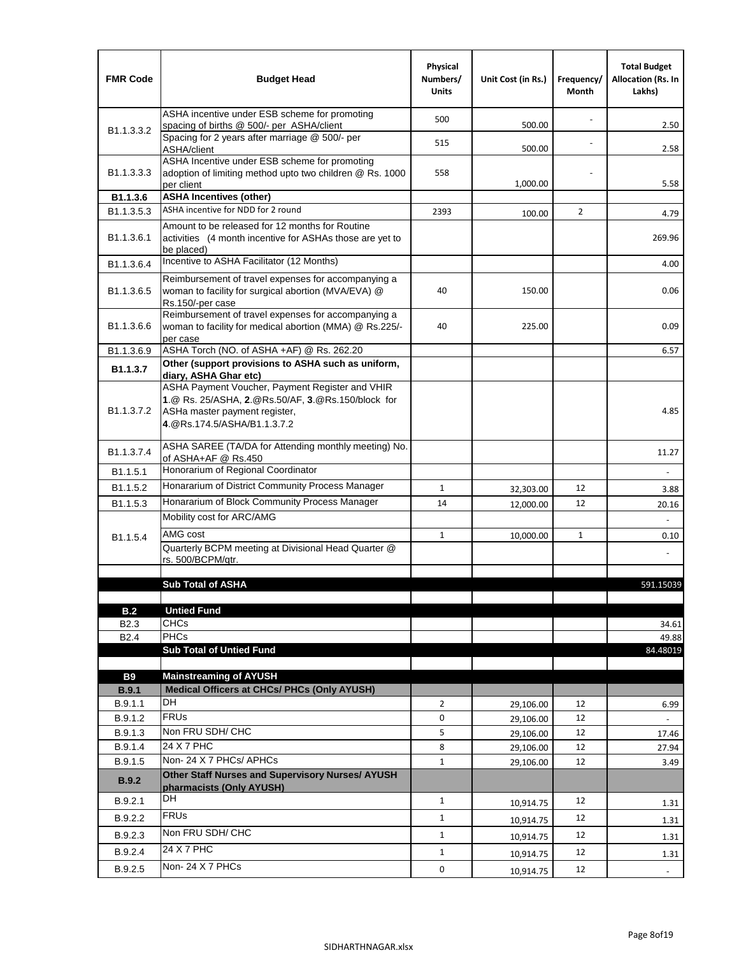| <b>FMR Code</b>            | <b>Budget Head</b>                                                                                                                                                    | Physical<br>Numbers/<br><b>Units</b> | Unit Cost (in Rs.) | Frequency/<br>Month | <b>Total Budget</b><br><b>Allocation (Rs. In</b><br>Lakhs) |
|----------------------------|-----------------------------------------------------------------------------------------------------------------------------------------------------------------------|--------------------------------------|--------------------|---------------------|------------------------------------------------------------|
|                            | ASHA incentive under ESB scheme for promoting<br>spacing of births @ 500/- per ASHA/client                                                                            | 500                                  | 500.00             |                     | 2.50                                                       |
| B <sub>1.1</sub> , 3, 3, 2 | Spacing for 2 years after marriage @ 500/- per<br>ASHA/client                                                                                                         | 515                                  | 500.00             |                     | 2.58                                                       |
| B1.1.3.3.3                 | ASHA Incentive under ESB scheme for promoting<br>adoption of limiting method upto two children @ Rs. 1000<br>per client                                               | 558                                  | 1,000.00           |                     | 5.58                                                       |
| B1.1.3.6                   | <b>ASHA Incentives (other)</b>                                                                                                                                        |                                      |                    |                     |                                                            |
| B <sub>1.1</sub> , 3, 5, 3 | ASHA incentive for NDD for 2 round                                                                                                                                    | 2393                                 | 100.00             | $\overline{2}$      | 4.79                                                       |
| B <sub>1.1</sub> .3.6.1    | Amount to be released for 12 months for Routine<br>activities (4 month incentive for ASHAs those are yet to<br>be placed)                                             |                                      |                    |                     | 269.96                                                     |
| B1.1.3.6.4                 | Incentive to ASHA Facilitator (12 Months)                                                                                                                             |                                      |                    |                     | 4.00                                                       |
| B <sub>1.1</sub> .3.6.5    | Reimbursement of travel expenses for accompanying a<br>woman to facility for surgical abortion (MVA/EVA) @<br>Rs.150/-per case                                        | 40                                   | 150.00             |                     | 0.06                                                       |
| B <sub>1.1</sub> .3.6.6    | Reimbursement of travel expenses for accompanying a<br>woman to facility for medical abortion (MMA) @ Rs.225/-<br>per case                                            | 40                                   | 225.00             |                     | 0.09                                                       |
| B1.1.3.6.9                 | ASHA Torch (NO. of ASHA +AF) @ Rs. 262.20                                                                                                                             |                                      |                    |                     | 6.57                                                       |
| B1.1.3.7                   | Other (support provisions to ASHA such as uniform,<br>diary, ASHA Ghar etc)                                                                                           |                                      |                    |                     |                                                            |
| B <sub>1.1</sub> .3.7.2    | ASHA Payment Voucher, Payment Register and VHIR<br>1.@ Rs. 25/ASHA, 2.@Rs.50/AF, 3.@Rs.150/block for<br>ASHa master payment register,<br>4. @Rs.174.5/ASHA/B1.1.3.7.2 |                                      |                    |                     | 4.85                                                       |
| B <sub>1.1</sub> , 3.7.4   | ASHA SAREE (TA/DA for Attending monthly meeting) No.<br>of ASHA+AF @ Rs.450                                                                                           |                                      |                    |                     | 11.27                                                      |
| B1.1.5.1                   | Honorarium of Regional Coordinator                                                                                                                                    |                                      |                    |                     | ÷,                                                         |
| B1.1.5.2                   | Honararium of District Community Process Manager                                                                                                                      | $\mathbf{1}$                         | 32,303.00          | 12                  | 3.88                                                       |
| B1.1.5.3                   | Honararium of Block Community Process Manager                                                                                                                         | 14                                   | 12,000.00          | 12                  | 20.16                                                      |
|                            | Mobility cost for ARC/AMG                                                                                                                                             |                                      |                    |                     |                                                            |
| B <sub>1.1.5.4</sub>       | AMG cost                                                                                                                                                              | $\mathbf{1}$                         | 10,000.00          | $\mathbf{1}$        | 0.10                                                       |
|                            | Quarterly BCPM meeting at Divisional Head Quarter @                                                                                                                   |                                      |                    |                     |                                                            |
|                            | rs. 500/BCPM/atr.                                                                                                                                                     |                                      |                    |                     |                                                            |
|                            |                                                                                                                                                                       |                                      |                    |                     |                                                            |
|                            | <b>Sub Total of ASHA</b>                                                                                                                                              |                                      |                    |                     | 591.15039                                                  |
| B.2                        | <b>Untied Fund</b>                                                                                                                                                    |                                      |                    |                     |                                                            |
| B <sub>2.3</sub>           | <b>CHCs</b>                                                                                                                                                           |                                      |                    |                     | 34.61                                                      |
| B <sub>2.4</sub>           | <b>PHCs</b>                                                                                                                                                           |                                      |                    |                     | 49.88                                                      |
|                            | <b>Sub Total of Untied Fund</b>                                                                                                                                       |                                      |                    |                     | 84.48019                                                   |
|                            |                                                                                                                                                                       |                                      |                    |                     |                                                            |
| <b>B9</b><br>B.9.1         | <b>Mainstreaming of AYUSH</b><br>Medical Officers at CHCs/ PHCs (Only AYUSH)                                                                                          |                                      |                    |                     |                                                            |
| B.9.1.1                    | DH                                                                                                                                                                    | $\overline{2}$                       | 29,106.00          | 12                  | 6.99                                                       |
| B.9.1.2                    | <b>FRU<sub>s</sub></b>                                                                                                                                                | 0                                    | 29,106.00          | 12                  |                                                            |
| B.9.1.3                    | Non FRU SDH/ CHC                                                                                                                                                      | 5                                    | 29,106.00          | 12                  | 17.46                                                      |
| B.9.1.4                    | 24 X 7 PHC                                                                                                                                                            | 8                                    | 29,106.00          | 12                  | 27.94                                                      |
| B.9.1.5                    | Non-24 X 7 PHCs/ APHCs                                                                                                                                                | $\mathbf{1}$                         | 29,106.00          | 12                  | 3.49                                                       |
| B.9.2                      | Other Staff Nurses and Supervisory Nurses/ AYUSH<br>pharmacists (Only AYUSH)                                                                                          |                                      |                    |                     |                                                            |
| B.9.2.1                    | DH                                                                                                                                                                    | $\mathbf{1}$                         | 10,914.75          | 12                  | 1.31                                                       |
| B.9.2.2                    | <b>FRUs</b>                                                                                                                                                           | $\mathbf{1}$                         |                    | 12                  |                                                            |
| B.9.2.3                    | Non FRU SDH/ CHC                                                                                                                                                      | $\mathbf{1}$                         | 10,914.75          | 12                  | 1.31                                                       |
|                            | 24 X 7 PHC                                                                                                                                                            |                                      | 10,914.75          |                     | 1.31                                                       |
| B.9.2.4                    | Non-24 X 7 PHCs                                                                                                                                                       | $\mathbf{1}$                         | 10,914.75          | 12                  | 1.31                                                       |
| B.9.2.5                    |                                                                                                                                                                       | 0                                    | 10,914.75          | 12                  | $\blacksquare$                                             |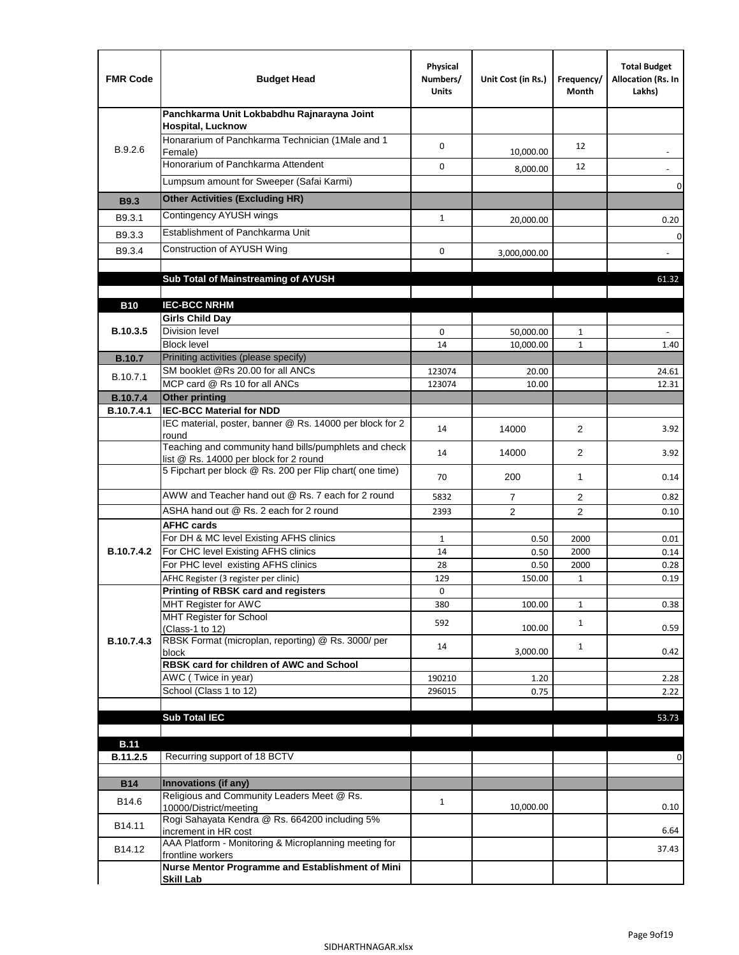| <b>FMR Code</b>   | <b>Budget Head</b>                                                                              | Physical<br>Numbers/<br><b>Units</b> | Unit Cost (in Rs.) | Frequency/<br>Month | <b>Total Budget</b><br>Allocation (Rs. In<br>Lakhs) |
|-------------------|-------------------------------------------------------------------------------------------------|--------------------------------------|--------------------|---------------------|-----------------------------------------------------|
|                   | Panchkarma Unit Lokbabdhu Rajnarayna Joint<br><b>Hospital, Lucknow</b>                          |                                      |                    |                     |                                                     |
| B.9.2.6           | Honararium of Panchkarma Technician (1Male and 1<br>Female)                                     | 0                                    | 10,000.00          | 12                  |                                                     |
|                   | Honorarium of Panchkarma Attendent                                                              | $\mathbf 0$                          | 8,000.00           | 12                  |                                                     |
|                   | Lumpsum amount for Sweeper (Safai Karmi)                                                        |                                      |                    |                     | 0                                                   |
| <b>B9.3</b>       | <b>Other Activities (Excluding HR)</b>                                                          |                                      |                    |                     |                                                     |
| B9.3.1            | Contingency AYUSH wings                                                                         | $\mathbf{1}$                         | 20,000.00          |                     | 0.20                                                |
| B9.3.3            | Establishment of Panchkarma Unit                                                                |                                      |                    |                     | $\mathbf 0$                                         |
| B9.3.4            | Construction of AYUSH Wing                                                                      | 0                                    | 3,000,000.00       |                     |                                                     |
|                   |                                                                                                 |                                      |                    |                     |                                                     |
|                   | Sub Total of Mainstreaming of AYUSH                                                             |                                      |                    |                     | 61.32                                               |
| <b>B10</b>        | <b>IEC-BCC NRHM</b>                                                                             |                                      |                    |                     |                                                     |
|                   | <b>Girls Child Day</b>                                                                          |                                      |                    |                     |                                                     |
| B.10.3.5          | <b>Division level</b>                                                                           | 0                                    | 50,000.00          | 1                   |                                                     |
|                   | <b>Block level</b>                                                                              | 14                                   | 10,000.00          | $\mathbf{1}$        | 1.40                                                |
| <b>B.10.7</b>     | Priniting activities (please specify)                                                           |                                      |                    |                     |                                                     |
| B.10.7.1          | SM booklet @Rs 20.00 for all ANCs<br>MCP card @ Rs 10 for all ANCs                              | 123074<br>123074                     | 20.00<br>10.00     |                     | 24.61<br>12.31                                      |
| <b>B.10.7.4</b>   | <b>Other printing</b>                                                                           |                                      |                    |                     |                                                     |
| B.10.7.4.1        | <b>IEC-BCC Material for NDD</b>                                                                 |                                      |                    |                     |                                                     |
|                   | IEC material, poster, banner @ Rs. 14000 per block for 2<br>round                               | 14                                   | 14000              | $\overline{2}$      | 3.92                                                |
|                   | Teaching and community hand bills/pumphlets and check<br>list @ Rs. 14000 per block for 2 round | 14                                   | 14000              | $\overline{2}$      | 3.92                                                |
|                   | 5 Fipchart per block @ Rs. 200 per Flip chart( one time)                                        | 70                                   | 200                | $\mathbf{1}$        | 0.14                                                |
|                   | AWW and Teacher hand out @ Rs. 7 each for 2 round                                               | 5832                                 | $\overline{7}$     | $\overline{2}$      | 0.82                                                |
|                   | ASHA hand out @ Rs. 2 each for 2 round                                                          | 2393                                 | $\overline{2}$     | $\overline{2}$      | 0.10                                                |
|                   | <b>AFHC cards</b>                                                                               |                                      |                    |                     |                                                     |
| <b>B.10.7.4.2</b> | For DH & MC level Existing AFHS clinics<br>For CHC level Existing AFHS clinics                  | 1<br>14                              | 0.50<br>0.50       | 2000<br>2000        | 0.01<br>0.14                                        |
|                   | For PHC level existing AFHS clinics                                                             | 28                                   | 0.50               | 2000                | 0.28                                                |
|                   | AFHC Register (3 register per clinic)                                                           | 129                                  | 150.00             | $\mathbf{1}$        | 0.19                                                |
|                   | Printing of RBSK card and registers                                                             | 0                                    |                    |                     |                                                     |
|                   | MHT Register for AWC<br>MHT Register for School                                                 | 380                                  | 100.00             | $\mathbf{1}$        | 0.38                                                |
|                   | (Class-1 to 12)                                                                                 | 592                                  | 100.00             | $\mathbf{1}$        | 0.59                                                |
| B.10.7.4.3        | RBSK Format (microplan, reporting) @ Rs. 3000/ per                                              | 14                                   |                    | $\mathbf{1}$        |                                                     |
|                   | block<br>RBSK card for children of AWC and School                                               |                                      | 3,000.00           |                     | 0.42                                                |
|                   | AWC (Twice in year)                                                                             | 190210                               | 1.20               |                     | 2.28                                                |
|                   | School (Class 1 to 12)                                                                          | 296015                               | 0.75               |                     | 2.22                                                |
|                   |                                                                                                 |                                      |                    |                     |                                                     |
|                   | <b>Sub Total IEC</b>                                                                            |                                      |                    |                     | 53.73                                               |
| <b>B.11</b>       |                                                                                                 |                                      |                    |                     |                                                     |
| B.11.2.5          | Recurring support of 18 BCTV                                                                    |                                      |                    |                     | 0                                                   |
|                   |                                                                                                 |                                      |                    |                     |                                                     |
| <b>B14</b>        | Innovations (if any)<br>Religious and Community Leaders Meet @ Rs.                              |                                      |                    |                     |                                                     |
| B14.6             | 10000/District/meeting                                                                          | $\mathbf{1}$                         | 10,000.00          |                     | 0.10                                                |
| B14.11            | Rogi Sahayata Kendra @ Rs. 664200 including 5%<br>increment in HR cost                          |                                      |                    |                     | 6.64                                                |
| B14.12            | AAA Platform - Monitoring & Microplanning meeting for<br>frontline workers                      |                                      |                    |                     | 37.43                                               |
|                   | Nurse Mentor Programme and Establishment of Mini                                                |                                      |                    |                     |                                                     |
|                   | <b>Skill Lab</b>                                                                                |                                      |                    |                     |                                                     |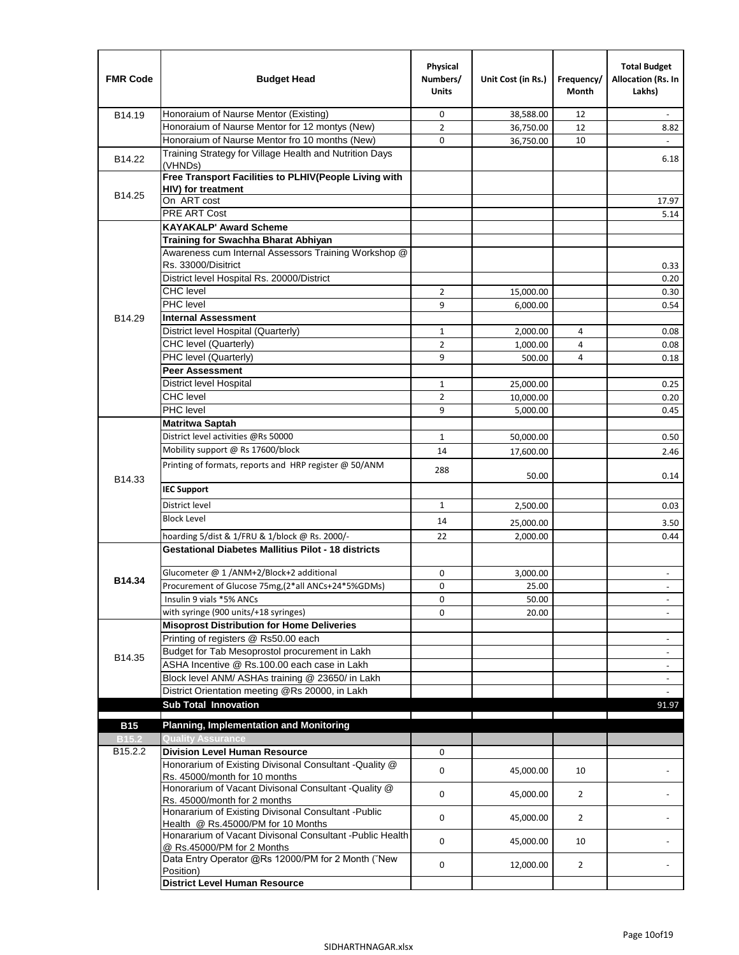| <b>FMR Code</b>                     | <b>Budget Head</b>                                                                         | Physical<br>Numbers/<br><b>Units</b> | Unit Cost (in Rs.) | Frequency/<br>Month | <b>Total Budget</b><br>Allocation (Rs. In<br>Lakhs) |
|-------------------------------------|--------------------------------------------------------------------------------------------|--------------------------------------|--------------------|---------------------|-----------------------------------------------------|
| B14.19                              | Honoraium of Naurse Mentor (Existing)                                                      | 0                                    | 38,588.00          | 12                  |                                                     |
|                                     | Honoraium of Naurse Mentor for 12 montys (New)                                             | $\overline{2}$                       | 36,750.00          | 12                  | 8.82                                                |
|                                     | Honoraium of Naurse Mentor fro 10 months (New)                                             | 0                                    | 36,750.00          | 10                  | $\omega$                                            |
| B14.22                              | Training Strategy for Village Health and Nutrition Days<br>(VHNDs)                         |                                      |                    |                     | 6.18                                                |
|                                     | Free Transport Facilities to PLHIV(People Living with                                      |                                      |                    |                     |                                                     |
| B14.25                              | HIV) for treatment                                                                         |                                      |                    |                     |                                                     |
|                                     | On ART cost                                                                                |                                      |                    |                     | 17.97                                               |
|                                     | PRE ART Cost<br><b>KAYAKALP' Award Scheme</b>                                              |                                      |                    |                     | 5.14                                                |
|                                     | Training for Swachha Bharat Abhiyan                                                        |                                      |                    |                     |                                                     |
|                                     | Awareness cum Internal Assessors Training Workshop @                                       |                                      |                    |                     |                                                     |
|                                     | Rs. 33000/Disitrict                                                                        |                                      |                    |                     | 0.33                                                |
|                                     | District level Hospital Rs. 20000/District                                                 |                                      |                    |                     | 0.20                                                |
|                                     | <b>CHC</b> level                                                                           | 2                                    | 15,000.00          |                     | 0.30                                                |
|                                     | PHC level                                                                                  | 9                                    | 6,000.00           |                     | 0.54                                                |
| B14.29                              | <b>Internal Assessment</b>                                                                 |                                      |                    |                     |                                                     |
|                                     | District level Hospital (Quarterly)                                                        | $\mathbf{1}$                         | 2,000.00           | 4                   | 0.08                                                |
|                                     | CHC level (Quarterly)                                                                      | $\overline{2}$                       | 1,000.00           | $\overline{4}$      | 0.08                                                |
|                                     | PHC level (Quarterly)                                                                      | 9                                    | 500.00             | 4                   | 0.18                                                |
|                                     | <b>Peer Assessment</b>                                                                     |                                      |                    |                     |                                                     |
|                                     | <b>District level Hospital</b>                                                             | 1                                    | 25,000.00          |                     | 0.25                                                |
|                                     | <b>CHC</b> level                                                                           | $\overline{2}$                       | 10,000.00          |                     | 0.20                                                |
|                                     | PHC level                                                                                  | 9                                    | 5,000.00           |                     | 0.45                                                |
|                                     | <b>Matritwa Saptah</b><br>District level activities @Rs 50000                              |                                      |                    |                     |                                                     |
|                                     | Mobility support @ Rs 17600/block                                                          | $\mathbf{1}$<br>14                   | 50,000.00          |                     | 0.50                                                |
|                                     | Printing of formats, reports and HRP register @ 50/ANM                                     |                                      | 17,600.00          |                     | 2.46                                                |
| B14.33                              |                                                                                            | 288                                  | 50.00              |                     | 0.14                                                |
|                                     | <b>IEC Support</b>                                                                         |                                      |                    |                     |                                                     |
|                                     | District level                                                                             | 1                                    | 2,500.00           |                     | 0.03                                                |
|                                     | <b>Block Level</b>                                                                         | 14                                   | 25,000.00          |                     | 3.50                                                |
|                                     | hoarding 5/dist & 1/FRU & 1/block @ Rs. 2000/-                                             | 22                                   | 2,000.00           |                     | 0.44                                                |
|                                     | <b>Gestational Diabetes Mallitius Pilot - 18 districts</b>                                 |                                      |                    |                     |                                                     |
| B14.34                              | Glucometer @ 1 /ANM+2/Block+2 additional                                                   | 0                                    | 3,000.00           |                     |                                                     |
|                                     | Procurement of Glucose 75mg, (2*all ANCs+24*5%GDMs)                                        | 0                                    | 25.00              |                     |                                                     |
|                                     | Insulin 9 vials *5% ANCs                                                                   | 0                                    | 50.00              |                     | $\blacksquare$                                      |
|                                     | with syringe (900 units/+18 syringes)<br><b>Misoprost Distribution for Home Deliveries</b> | 0                                    | 20.00              |                     |                                                     |
|                                     | Printing of registers @ Rs50.00 each                                                       |                                      |                    |                     | $\overline{\phantom{a}}$                            |
|                                     | Budget for Tab Mesoprostol procurement in Lakh                                             |                                      |                    |                     | $\blacksquare$                                      |
| B14.35                              | ASHA Incentive @ Rs.100.00 each case in Lakh                                               |                                      |                    |                     | $\overline{\phantom{a}}$                            |
|                                     | Block level ANM/ ASHAs training @ 23650/ in Lakh                                           |                                      |                    |                     |                                                     |
|                                     | District Orientation meeting @Rs 20000, in Lakh                                            |                                      |                    |                     | $\omega$                                            |
|                                     | <b>Sub Total Innovation</b>                                                                |                                      |                    |                     | 91.97                                               |
|                                     |                                                                                            |                                      |                    |                     |                                                     |
| <b>B15</b>                          | <b>Planning, Implementation and Monitoring</b>                                             |                                      |                    |                     |                                                     |
| <b>B15.2</b><br>B <sub>15.2.2</sub> | <b>Quality Assurance</b><br><b>Division Level Human Resource</b>                           | 0                                    |                    |                     |                                                     |
|                                     | Honorarium of Existing Divisonal Consultant - Quality @                                    |                                      |                    |                     |                                                     |
|                                     | Rs. 45000/month for 10 months                                                              | 0                                    | 45,000.00          | 10                  |                                                     |
|                                     | Honorarium of Vacant Divisonal Consultant - Quality @<br>Rs. 45000/month for 2 months      | 0                                    | 45,000.00          | $\overline{2}$      |                                                     |
|                                     | Honararium of Existing Divisonal Consultant - Public<br>Health @ Rs.45000/PM for 10 Months | 0                                    | 45,000.00          | $\overline{2}$      |                                                     |
|                                     | Honararium of Vacant Divisonal Consultant - Public Health<br>@ Rs.45000/PM for 2 Months    | 0                                    | 45,000.00          | 10                  |                                                     |
|                                     | Data Entry Operator @Rs 12000/PM for 2 Month ("New                                         | 0                                    | 12,000.00          | $\overline{2}$      |                                                     |
|                                     | Position)<br><b>District Level Human Resource</b>                                          |                                      |                    |                     |                                                     |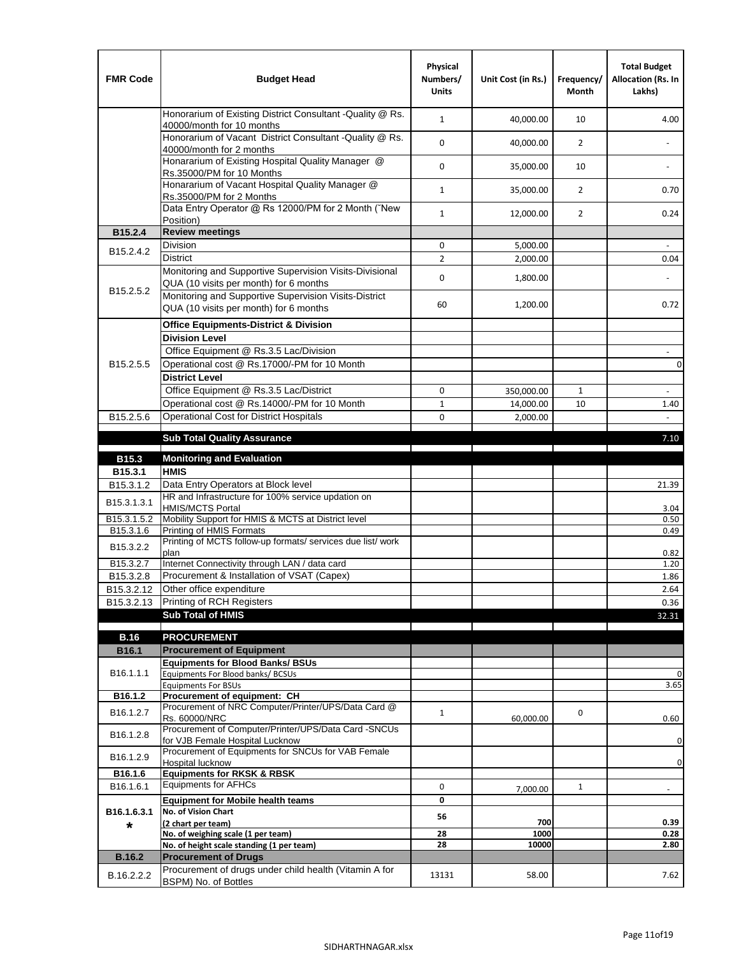| <b>FMR Code</b>         | <b>Budget Head</b>                                                                                | Physical<br>Numbers/<br><b>Units</b> | Unit Cost (in Rs.) | Frequency/<br><b>Month</b> | <b>Total Budget</b><br>Allocation (Rs. In<br>Lakhs) |
|-------------------------|---------------------------------------------------------------------------------------------------|--------------------------------------|--------------------|----------------------------|-----------------------------------------------------|
|                         | Honorarium of Existing District Consultant -Quality @ Rs.<br>40000/month for 10 months            | $\mathbf{1}$                         | 40,000.00          | 10                         | 4.00                                                |
|                         | Honorarium of Vacant District Consultant -Quality @ Rs.<br>40000/month for 2 months               | $\mathbf 0$                          | 40,000.00          | $\overline{2}$             | $\ddot{\phantom{a}}$                                |
|                         | Honararium of Existing Hospital Quality Manager @<br>Rs.35000/PM for 10 Months                    | 0                                    | 35,000.00          | 10                         |                                                     |
|                         | Honararium of Vacant Hospital Quality Manager @<br>Rs.35000/PM for 2 Months                       | $\mathbf{1}$                         | 35,000.00          | $\overline{2}$             | 0.70                                                |
|                         | Data Entry Operator @ Rs 12000/PM for 2 Month ("New<br>Position)                                  | $\mathbf{1}$                         | 12,000.00          | $\overline{2}$             | 0.24                                                |
| B15.2.4                 | <b>Review meetings</b>                                                                            |                                      |                    |                            |                                                     |
| B <sub>15.2</sub> .4.2  | Division                                                                                          | 0                                    | 5,000.00           |                            |                                                     |
|                         | <b>District</b>                                                                                   | $\overline{2}$                       | 2,000.00           |                            | 0.04                                                |
| B15.2.5.2               | Monitoring and Supportive Supervision Visits-Divisional<br>QUA (10 visits per month) for 6 months | $\mathbf 0$                          | 1,800.00           |                            |                                                     |
|                         | Monitoring and Supportive Supervision Visits-District<br>QUA (10 visits per month) for 6 months   | 60                                   | 1,200.00           |                            | 0.72                                                |
|                         | <b>Office Equipments-District &amp; Division</b>                                                  |                                      |                    |                            |                                                     |
|                         | <b>Division Level</b>                                                                             |                                      |                    |                            |                                                     |
|                         | Office Equipment @ Rs.3.5 Lac/Division                                                            |                                      |                    |                            | $\sim$                                              |
| B15.2.5.5               | Operational cost @ Rs.17000/-PM for 10 Month                                                      |                                      |                    |                            | $\pmb{0}$                                           |
|                         | <b>District Level</b>                                                                             |                                      |                    |                            |                                                     |
|                         | Office Equipment @ Rs.3.5 Lac/District                                                            | 0                                    | 350,000.00         | 1                          | $\blacksquare$                                      |
|                         | Operational cost @ Rs.14000/-PM for 10 Month                                                      | $1\,$                                | 14,000.00          | 10                         | 1.40                                                |
| B15.2.5.6               | <b>Operational Cost for District Hospitals</b>                                                    | 0                                    | 2,000.00           |                            | $\mathbf{r}$                                        |
|                         | <b>Sub Total Quality Assurance</b>                                                                |                                      |                    |                            | 7.10                                                |
| B15.3                   | <b>Monitoring and Evaluation</b>                                                                  |                                      |                    |                            |                                                     |
| B15.3.1                 | <b>HMIS</b>                                                                                       |                                      |                    |                            |                                                     |
| B15.3.1.2               | Data Entry Operators at Block level                                                               |                                      |                    |                            | 21.39                                               |
| B15.3.1.3.1             | HR and Infrastructure for 100% service updation on<br><b>HMIS/MCTS Portal</b>                     |                                      |                    |                            | 3.04                                                |
| B <sub>15.3.1.5.2</sub> | Mobility Support for HMIS & MCTS at District level                                                |                                      |                    |                            | 0.50                                                |
| B15.3.1.6               | Printing of HMIS Formats<br>Printing of MCTS follow-up formats/ services due list/ work           |                                      |                    |                            | 0.49                                                |
| B15.3.2.2               | plan                                                                                              |                                      |                    |                            | 0.82                                                |
| B15.3.2.7               | Internet Connectivity through LAN / data card                                                     |                                      |                    |                            | 1.20                                                |
| B15.3.2.8               | Procurement & Installation of VSAT (Capex)                                                        |                                      |                    |                            | 1.86                                                |
| B15.3.2.12              | Other office expenditure                                                                          |                                      |                    |                            | 2.64                                                |
| B15.3.2.13              | Printing of RCH Registers                                                                         |                                      |                    |                            | 0.36                                                |
|                         | <b>Sub Total of HMIS</b>                                                                          |                                      |                    |                            | 32.31                                               |
| <b>B.16</b>             | <b>PROCUREMENT</b>                                                                                |                                      |                    |                            |                                                     |
| B16.1                   | <b>Procurement of Equipment</b>                                                                   |                                      |                    |                            |                                                     |
|                         | <b>Equipments for Blood Banks/ BSUs</b>                                                           |                                      |                    |                            |                                                     |
| B16.1.1.1               | Equipments For Blood banks/ BCSUs                                                                 |                                      |                    |                            | 0                                                   |
| B16.1.2                 | <b>Equipments For BSUs</b><br>Procurement of equipment: CH                                        |                                      |                    |                            | 3.65                                                |
| B16.1.2.7               | Procurement of NRC Computer/Printer/UPS/Data Card @                                               | $\mathbf{1}$                         |                    | 0                          |                                                     |
|                         | Rs. 60000/NRC                                                                                     |                                      | 60,000.00          |                            | 0.60                                                |
| B16.1.2.8               | Procurement of Computer/Printer/UPS/Data Card -SNCUs<br>for VJB Female Hospital Lucknow           |                                      |                    |                            | 0                                                   |
|                         | Procurement of Equipments for SNCUs for VAB Female                                                |                                      |                    |                            |                                                     |
| B16.1.2.9               | Hospital lucknow                                                                                  |                                      |                    |                            | 0                                                   |
| B16.1.6                 | <b>Equipments for RKSK &amp; RBSK</b>                                                             |                                      |                    |                            |                                                     |
| B16.1.6.1               | <b>Equipments for AFHCs</b>                                                                       | 0                                    | 7,000.00           | $\mathbf{1}$               | ÷,                                                  |
|                         | <b>Equipment for Mobile health teams</b><br>No. of Vision Chart                                   | 0                                    |                    |                            |                                                     |
| B16.1.6.3.1<br>*        | (2 chart per team)                                                                                | 56                                   | 700                |                            | 0.39                                                |
|                         | No. of weighing scale (1 per team)                                                                | 28                                   | 1000               |                            | 0.28                                                |
|                         | No. of height scale standing (1 per team)                                                         | 28                                   | 10000              |                            | 2.80                                                |
| <b>B.16.2</b>           | <b>Procurement of Drugs</b>                                                                       |                                      |                    |                            |                                                     |
| B.16.2.2.2              | Procurement of drugs under child health (Vitamin A for<br>BSPM) No. of Bottles                    | 13131                                | 58.00              |                            | 7.62                                                |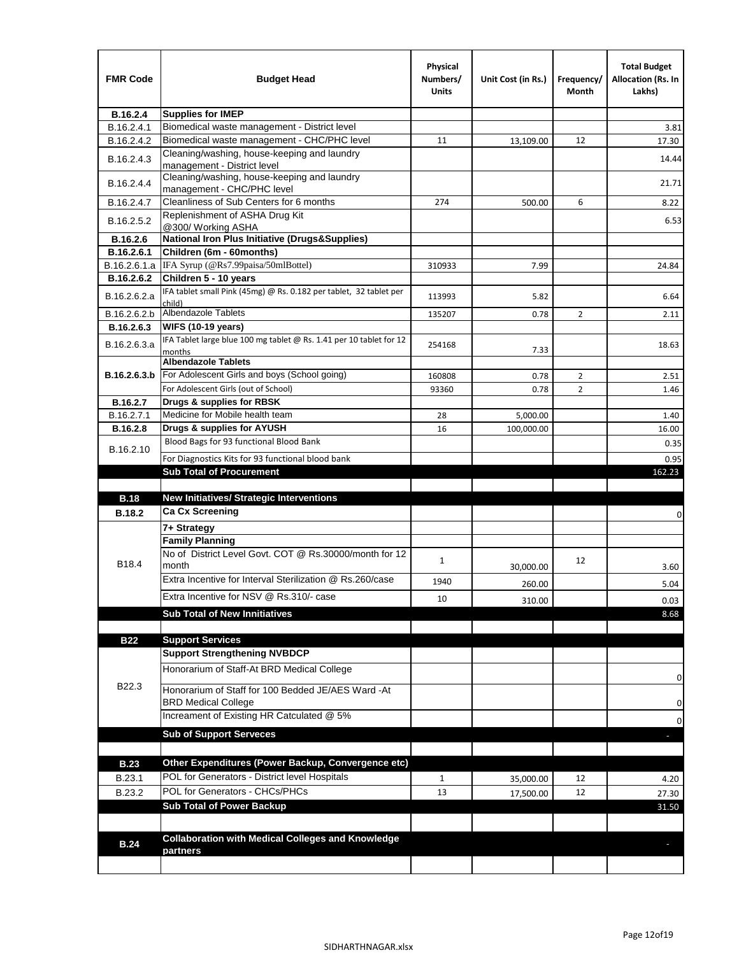| <b>FMR Code</b> | <b>Budget Head</b>                                                            | Physical<br>Numbers/<br>Units | Unit Cost (in Rs.) | Frequency/<br>Month | <b>Total Budget</b><br><b>Allocation (Rs. In</b><br>Lakhs) |
|-----------------|-------------------------------------------------------------------------------|-------------------------------|--------------------|---------------------|------------------------------------------------------------|
| B.16.2.4        | <b>Supplies for IMEP</b>                                                      |                               |                    |                     |                                                            |
| B.16.2.4.1      | Biomedical waste management - District level                                  |                               |                    |                     | 3.81                                                       |
| B.16.2.4.2      | Biomedical waste management - CHC/PHC level                                   | 11                            | 13,109.00          | 12                  | 17.30                                                      |
| B.16.2.4.3      | Cleaning/washing, house-keeping and laundry<br>management - District level    |                               |                    |                     | 14.44                                                      |
| B.16.2.4.4      | Cleaning/washing, house-keeping and laundry<br>management - CHC/PHC level     |                               |                    |                     | 21.71                                                      |
| B.16.2.4.7      | Cleanliness of Sub Centers for 6 months                                       | 274                           | 500.00             | 6                   | 8.22                                                       |
| B.16.2.5.2      | Replenishment of ASHA Drug Kit<br>@300/ Working ASHA                          |                               |                    |                     | 6.53                                                       |
| B.16.2.6        | <b>National Iron Plus Initiative (Drugs&amp;Supplies)</b>                     |                               |                    |                     |                                                            |
| B.16.2.6.1      | Children (6m - 60months)                                                      |                               |                    |                     |                                                            |
| B.16.2.6.1.a    | IFA Syrup (@Rs7.99paisa/50mlBottel)                                           | 310933                        | 7.99               |                     | 24.84                                                      |
| B.16.2.6.2      | Children 5 - 10 years                                                         |                               |                    |                     |                                                            |
| B.16.2.6.2.a    | IFA tablet small Pink (45mg) @ Rs. 0.182 per tablet, 32 tablet per<br>child)  | 113993                        | 5.82               |                     | 6.64                                                       |
| B.16.2.6.2.b    | <b>Albendazole Tablets</b>                                                    | 135207                        | 0.78               | 2                   | 2.11                                                       |
| B.16.2.6.3      | <b>WIFS (10-19 years)</b>                                                     |                               |                    |                     |                                                            |
| B.16.2.6.3.a    | IFA Tablet large blue 100 mg tablet @ Rs. 1.41 per 10 tablet for 12<br>months | 254168                        | 7.33               |                     | 18.63                                                      |
|                 | <b>Albendazole Tablets</b>                                                    |                               |                    |                     |                                                            |
| B.16.2.6.3.b    | For Adolescent Girls and boys (School going)                                  | 160808                        | 0.78               | $\overline{2}$      | 2.51                                                       |
|                 | For Adolescent Girls (out of School)                                          | 93360                         | 0.78               | $\overline{2}$      | 1.46                                                       |
| B.16.2.7        | Drugs & supplies for RBSK                                                     |                               |                    |                     |                                                            |
| B.16.2.7.1      | Medicine for Mobile health team                                               | 28                            | 5,000.00           |                     | 1.40                                                       |
| <b>B.16.2.8</b> | Drugs & supplies for AYUSH<br>Blood Bags for 93 functional Blood Bank         | 16                            | 100,000.00         |                     | 16.00                                                      |
| B.16.2.10       |                                                                               |                               |                    |                     | 0.35                                                       |
|                 | For Diagnostics Kits for 93 functional blood bank                             |                               |                    |                     | 0.95                                                       |
|                 | <b>Sub Total of Procurement</b>                                               |                               |                    |                     | 162.23                                                     |
| <b>B.18</b>     | <b>New Initiatives/ Strategic Interventions</b>                               |                               |                    |                     |                                                            |
| <b>B.18.2</b>   | <b>Ca Cx Screening</b>                                                        |                               |                    |                     |                                                            |
|                 |                                                                               |                               |                    |                     | 0                                                          |
|                 | 7+ Strategy<br><b>Family Planning</b>                                         |                               |                    |                     |                                                            |
| B18.4           | No of District Level Govt. COT @ Rs.30000/month for 12<br>month               | $\mathbf{1}$                  | 30,000.00          | 12                  | 3.60                                                       |
|                 | Extra Incentive for Interval Sterilization @ Rs.260/case                      |                               |                    |                     |                                                            |
|                 |                                                                               | 1940                          | 260.00             |                     | 5.04                                                       |
|                 | Extra Incentive for NSV @ Rs.310/- case                                       | 10                            | 310.00             |                     | 0.03                                                       |
|                 | <b>Sub Total of New Innitiatives</b>                                          |                               |                    |                     | 8.68                                                       |
|                 |                                                                               |                               |                    |                     |                                                            |
| <b>B22</b>      | <b>Support Services</b><br><b>Support Strengthening NVBDCP</b>                |                               |                    |                     |                                                            |
|                 | Honorarium of Staff-At BRD Medical College                                    |                               |                    |                     |                                                            |
| B22.3           | Honorarium of Staff for 100 Bedded JE/AES Ward -At                            |                               |                    |                     | 0                                                          |
|                 | <b>BRD Medical College</b><br>Increament of Existing HR Catculated @ 5%       |                               |                    |                     | 0                                                          |
|                 | <b>Sub of Support Serveces</b>                                                |                               |                    |                     | 0                                                          |
|                 |                                                                               |                               |                    |                     |                                                            |
| <b>B.23</b>     | Other Expenditures (Power Backup, Convergence etc)                            |                               |                    |                     |                                                            |
|                 | POL for Generators - District level Hospitals                                 |                               |                    |                     |                                                            |
| B.23.1          | POL for Generators - CHCs/PHCs                                                | $\mathbf{1}$                  | 35,000.00          | 12                  | 4.20                                                       |
| B.23.2          | <b>Sub Total of Power Backup</b>                                              | 13                            | 17,500.00          | 12                  | 27.30                                                      |
|                 |                                                                               |                               |                    |                     | 31.50                                                      |
|                 | <b>Collaboration with Medical Colleges and Knowledge</b>                      |                               |                    |                     |                                                            |
| <b>B.24</b>     | partners                                                                      |                               |                    |                     |                                                            |
|                 |                                                                               |                               |                    |                     |                                                            |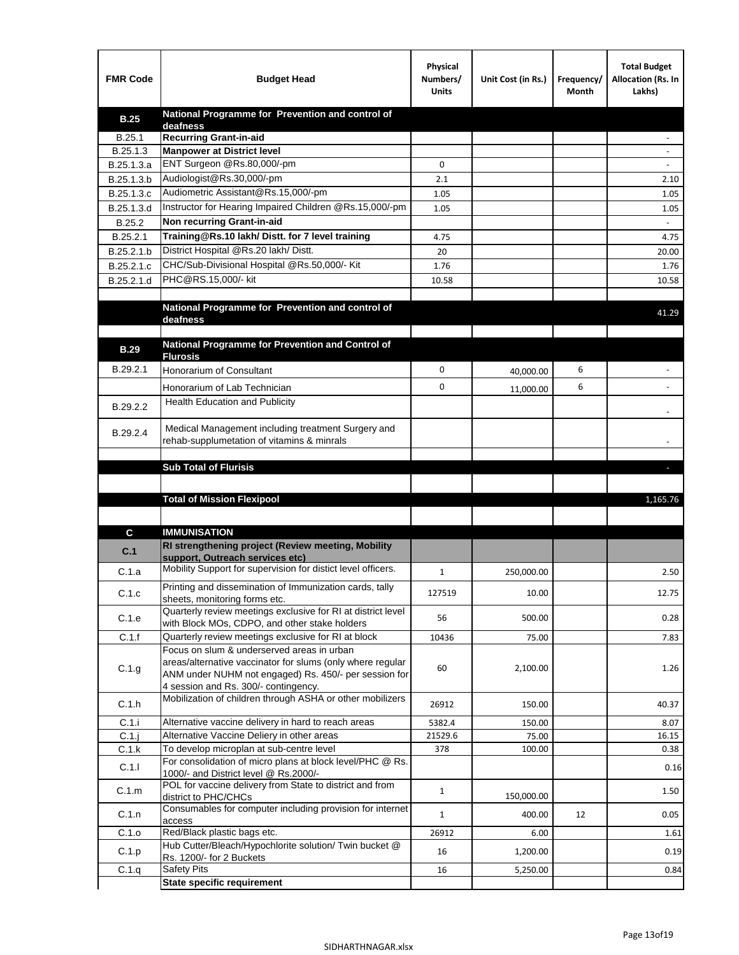| <b>FMR Code</b> | <b>Budget Head</b>                                                                                   | Physical<br>Numbers/<br><b>Units</b> | Unit Cost (in Rs.) | Frequency/<br>Month | <b>Total Budget</b><br>Allocation (Rs. In<br>Lakhs) |
|-----------------|------------------------------------------------------------------------------------------------------|--------------------------------------|--------------------|---------------------|-----------------------------------------------------|
| <b>B.25</b>     | National Programme for Prevention and control of                                                     |                                      |                    |                     |                                                     |
| B.25.1          | deafness<br>Recurring Grant-in-aid                                                                   |                                      |                    |                     |                                                     |
| B.25.1.3        | <b>Manpower at District level</b>                                                                    |                                      |                    |                     |                                                     |
| B.25.1.3.a      | ENT Surgeon @Rs.80,000/-pm                                                                           | 0                                    |                    |                     |                                                     |
| B.25.1.3.b      | Audiologist@Rs.30,000/-pm                                                                            | 2.1                                  |                    |                     | 2.10                                                |
| B.25.1.3.c      | Audiometric Assistant@Rs.15,000/-pm                                                                  | 1.05                                 |                    |                     | 1.05                                                |
| B.25.1.3.d      | Instructor for Hearing Impaired Children @Rs.15,000/-pm                                              | 1.05                                 |                    |                     | 1.05                                                |
| B.25.2          | Non recurring Grant-in-aid                                                                           |                                      |                    |                     |                                                     |
| B.25.2.1        | Training@Rs.10 lakh/ Distt. for 7 level training                                                     | 4.75                                 |                    |                     | 4.75                                                |
| B.25.2.1.b      | District Hospital @Rs.20 lakh/Distt.                                                                 | 20                                   |                    |                     | 20.00                                               |
| B.25.2.1.c      | CHC/Sub-Divisional Hospital @Rs.50,000/- Kit                                                         | 1.76                                 |                    |                     | 1.76                                                |
| B.25.2.1.d      | PHC@RS.15,000/- kit                                                                                  | 10.58                                |                    |                     | 10.58                                               |
|                 |                                                                                                      |                                      |                    |                     |                                                     |
|                 | National Programme for Prevention and control of                                                     |                                      |                    |                     | 41.29                                               |
|                 | deafness                                                                                             |                                      |                    |                     |                                                     |
|                 | National Programme for Prevention and Control of                                                     |                                      |                    |                     |                                                     |
| <b>B.29</b>     | <b>Flurosis</b>                                                                                      |                                      |                    |                     |                                                     |
| B.29.2.1        | Honorarium of Consultant                                                                             | 0                                    | 40,000.00          | 6                   |                                                     |
|                 | Honorarium of Lab Technician                                                                         | 0                                    | 11,000.00          | 6                   | $\ddot{\phantom{1}}$                                |
| B.29.2.2        | <b>Health Education and Publicity</b>                                                                |                                      |                    |                     |                                                     |
|                 |                                                                                                      |                                      |                    |                     |                                                     |
| B.29.2.4        | Medical Management including treatment Surgery and                                                   |                                      |                    |                     |                                                     |
|                 | rehab-supplumetation of vitamins & minrals                                                           |                                      |                    |                     |                                                     |
|                 | <b>Sub Total of Flurisis</b>                                                                         |                                      |                    |                     | ь                                                   |
|                 |                                                                                                      |                                      |                    |                     |                                                     |
|                 | <b>Total of Mission Flexipool</b>                                                                    |                                      |                    |                     | 1,165.76                                            |
|                 |                                                                                                      |                                      |                    |                     |                                                     |
|                 | <b>IMMUNISATION</b>                                                                                  |                                      |                    |                     |                                                     |
| C               | RI strengthening project (Review meeting, Mobility                                                   |                                      |                    |                     |                                                     |
| C.1             | support, Outreach services etc)                                                                      |                                      |                    |                     |                                                     |
| C.1.a           | Mobility Support for supervision for distict level officers.                                         | $\mathbf{1}$                         | 250,000.00         |                     | 2.50                                                |
|                 | Printing and dissemination of Immunization cards, tally                                              |                                      |                    |                     |                                                     |
| C.1.c           | sheets, monitoring forms etc.                                                                        | 127519                               | 10.00              |                     | 12.75                                               |
| C.1.e           | Quarterly review meetings exclusive for RI at district level                                         | 56                                   | 500.00             |                     | 0.28                                                |
| C.1.f           | with Block MOs, CDPO, and other stake holders<br>Quarterly review meetings exclusive for RI at block | 10436                                | 75.00              |                     |                                                     |
|                 | Focus on slum & underserved areas in urban                                                           |                                      |                    |                     | 7.83                                                |
|                 | areas/alternative vaccinator for slums (only where regular                                           |                                      |                    |                     |                                                     |
| C.1.g           | ANM under NUHM not engaged) Rs. 450/- per session for                                                | 60                                   | 2,100.00           |                     | 1.26                                                |
|                 | 4 session and Rs. 300/- contingency.                                                                 |                                      |                    |                     |                                                     |
| C.1.h           | Mobilization of children through ASHA or other mobilizers                                            | 26912                                | 150.00             |                     | 40.37                                               |
| C.1.i           | Alternative vaccine delivery in hard to reach areas                                                  | 5382.4                               | 150.00             |                     | 8.07                                                |
| $C.1$ .j        | Alternative Vaccine Deliery in other areas                                                           | 21529.6                              | 75.00              |                     | 16.15                                               |
| C.1.k           | To develop microplan at sub-centre level                                                             | 378                                  | 100.00             |                     | 0.38                                                |
| C.1.1           | For consolidation of micro plans at block level/PHC @ Rs.<br>1000/- and District level @ Rs.2000/-   |                                      |                    |                     | 0.16                                                |
| C.1.m           | POL for vaccine delivery from State to district and from                                             | $\mathbf{1}$                         | 150,000.00         |                     | 1.50                                                |
| C.1.n           | district to PHC/CHCs<br>Consumables for computer including provision for internet                    | $\mathbf{1}$                         | 400.00             | 12                  | 0.05                                                |
|                 | access                                                                                               |                                      |                    |                     |                                                     |
| C.1.o           | Red/Black plastic bags etc.<br>Hub Cutter/Bleach/Hypochlorite solution/ Twin bucket @                | 26912                                | 6.00               |                     | 1.61                                                |
| C.1.p           | Rs. 1200/- for 2 Buckets                                                                             | 16                                   | 1,200.00           |                     | 0.19                                                |
| C.1.q           | <b>Safety Pits</b>                                                                                   | 16                                   | 5,250.00           |                     | 0.84                                                |
|                 | <b>State specific requirement</b>                                                                    |                                      |                    |                     |                                                     |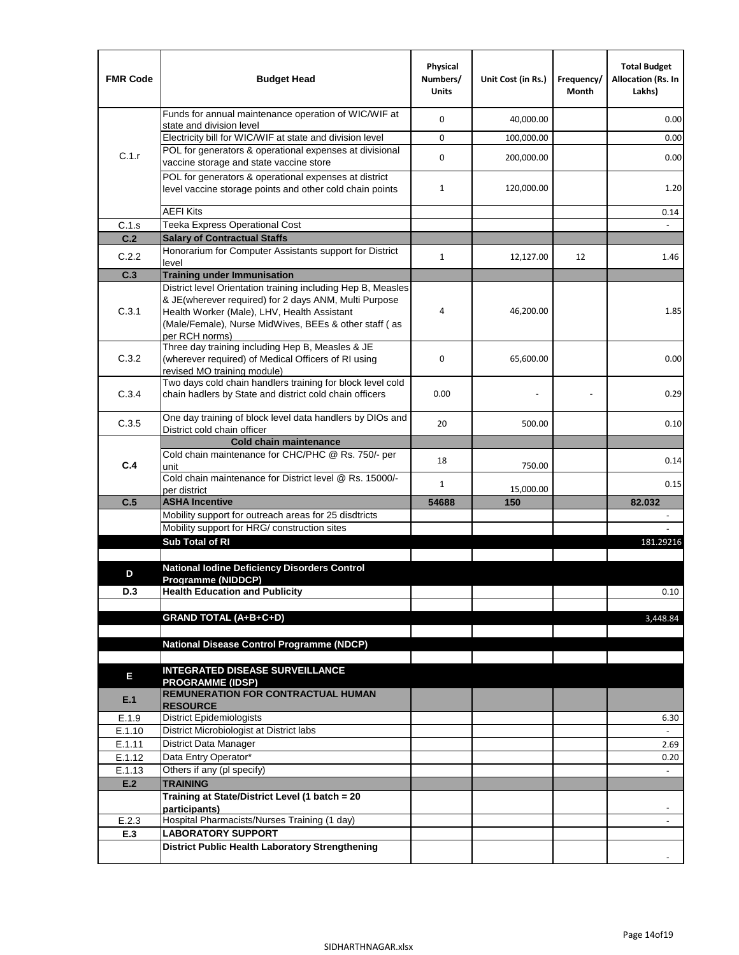| <b>FMR Code</b> | <b>Budget Head</b>                                                                                                                                                              | Physical<br>Numbers/<br><b>Units</b> | Unit Cost (in Rs.) | Frequency/<br>Month | <b>Total Budget</b><br><b>Allocation (Rs. In</b><br>Lakhs) |
|-----------------|---------------------------------------------------------------------------------------------------------------------------------------------------------------------------------|--------------------------------------|--------------------|---------------------|------------------------------------------------------------|
|                 | Funds for annual maintenance operation of WIC/WIF at<br>state and division level                                                                                                | $\mathbf 0$                          | 40,000.00          |                     | 0.00                                                       |
|                 | Electricity bill for WIC/WIF at state and division level                                                                                                                        | $\mathbf 0$                          | 100,000.00         |                     | 0.00                                                       |
| C.1.r           | POL for generators & operational expenses at divisional                                                                                                                         | $\mathbf 0$                          |                    |                     |                                                            |
|                 | vaccine storage and state vaccine store                                                                                                                                         |                                      | 200,000.00         |                     | 0.00                                                       |
|                 | POL for generators & operational expenses at district<br>level vaccine storage points and other cold chain points                                                               | $\mathbf{1}$                         | 120,000.00         |                     | 1.20                                                       |
|                 | <b>AEFI Kits</b>                                                                                                                                                                |                                      |                    |                     | 0.14                                                       |
| C.1.s           | Teeka Express Operational Cost                                                                                                                                                  |                                      |                    |                     |                                                            |
| C.2             | <b>Salary of Contractual Staffs</b>                                                                                                                                             |                                      |                    |                     |                                                            |
| C.2.2           | Honorarium for Computer Assistants support for District<br>level                                                                                                                | $\mathbf{1}$                         | 12,127.00          | 12                  | 1.46                                                       |
| C.3             | <b>Training under Immunisation</b>                                                                                                                                              |                                      |                    |                     |                                                            |
|                 | District level Orientation training including Hep B, Measles                                                                                                                    |                                      |                    |                     |                                                            |
| C.3.1           | & JE(wherever required) for 2 days ANM, Multi Purpose<br>Health Worker (Male), LHV, Health Assistant<br>(Male/Female), Nurse MidWives, BEEs & other staff (as<br>per RCH norms) | 4                                    | 46,200.00          |                     | 1.85                                                       |
| C.3.2           | Three day training including Hep B, Measles & JE<br>(wherever required) of Medical Officers of RI using<br>revised MO training module)                                          | $\mathbf 0$                          | 65,600.00          |                     | 0.00                                                       |
| C.3.4           | Two days cold chain handlers training for block level cold<br>chain hadlers by State and district cold chain officers                                                           | 0.00                                 |                    |                     | 0.29                                                       |
| C.3.5           | One day training of block level data handlers by DIOs and<br>District cold chain officer                                                                                        | 20                                   | 500.00             |                     | 0.10                                                       |
|                 | <b>Cold chain maintenance</b>                                                                                                                                                   |                                      |                    |                     |                                                            |
| C.4             | Cold chain maintenance for CHC/PHC @ Rs. 750/- per<br>unit                                                                                                                      | 18                                   | 750.00             |                     | 0.14                                                       |
|                 | Cold chain maintenance for District level @ Rs. 15000/-<br>per district                                                                                                         | $\mathbf{1}$                         | 15,000.00          |                     | 0.15                                                       |
| C.5             | <b>ASHA Incentive</b>                                                                                                                                                           | 54688                                | 150                |                     | 82.032                                                     |
|                 | Mobility support for outreach areas for 25 disdtricts                                                                                                                           |                                      |                    |                     |                                                            |
|                 | Mobility support for HRG/ construction sites                                                                                                                                    |                                      |                    |                     |                                                            |
|                 | Sub Total of RI                                                                                                                                                                 |                                      |                    |                     | 181.29216                                                  |
|                 | <b>National Iodine Deficiency Disorders Control</b>                                                                                                                             |                                      |                    |                     |                                                            |
| D               | Programme (NIDDCP)                                                                                                                                                              |                                      |                    |                     |                                                            |
| D.3             | <b>Health Education and Publicity</b>                                                                                                                                           |                                      |                    |                     | 0.10                                                       |
|                 |                                                                                                                                                                                 |                                      |                    |                     |                                                            |
|                 | <b>GRAND TOTAL (A+B+C+D)</b>                                                                                                                                                    |                                      |                    |                     | 3.448.84                                                   |
|                 | <b>National Disease Control Programme (NDCP)</b>                                                                                                                                |                                      |                    |                     |                                                            |
|                 |                                                                                                                                                                                 |                                      |                    |                     |                                                            |
| Е               | <b>INTEGRATED DISEASE SURVEILLANCE</b>                                                                                                                                          |                                      |                    |                     |                                                            |
|                 | <b>PROGRAMME (IDSP)</b>                                                                                                                                                         |                                      |                    |                     |                                                            |
| E.1             | <b>REMUNERATION FOR CONTRACTUAL HUMAN</b><br><b>RESOURCE</b>                                                                                                                    |                                      |                    |                     |                                                            |
| E.1.9           | District Epidemiologists                                                                                                                                                        |                                      |                    |                     | 6.30                                                       |
| E.1.10          | District Microbiologist at District labs                                                                                                                                        |                                      |                    |                     |                                                            |
| E.1.11          | District Data Manager                                                                                                                                                           |                                      |                    |                     | 2.69                                                       |
| E.1.12          | Data Entry Operator*                                                                                                                                                            |                                      |                    |                     | 0.20                                                       |
| E.1.13          | Others if any (pl specify)                                                                                                                                                      |                                      |                    |                     | $\omega$                                                   |
| E.2             | <b>TRAINING</b>                                                                                                                                                                 |                                      |                    |                     |                                                            |
|                 | Training at State/District Level (1 batch = 20<br>participants)                                                                                                                 |                                      |                    |                     |                                                            |
| E.2.3           | Hospital Pharmacists/Nurses Training (1 day)                                                                                                                                    |                                      |                    |                     |                                                            |
| E.3             | <b>LABORATORY SUPPORT</b>                                                                                                                                                       |                                      |                    |                     |                                                            |
|                 | <b>District Public Health Laboratory Strengthening</b>                                                                                                                          |                                      |                    |                     |                                                            |
|                 |                                                                                                                                                                                 |                                      |                    |                     |                                                            |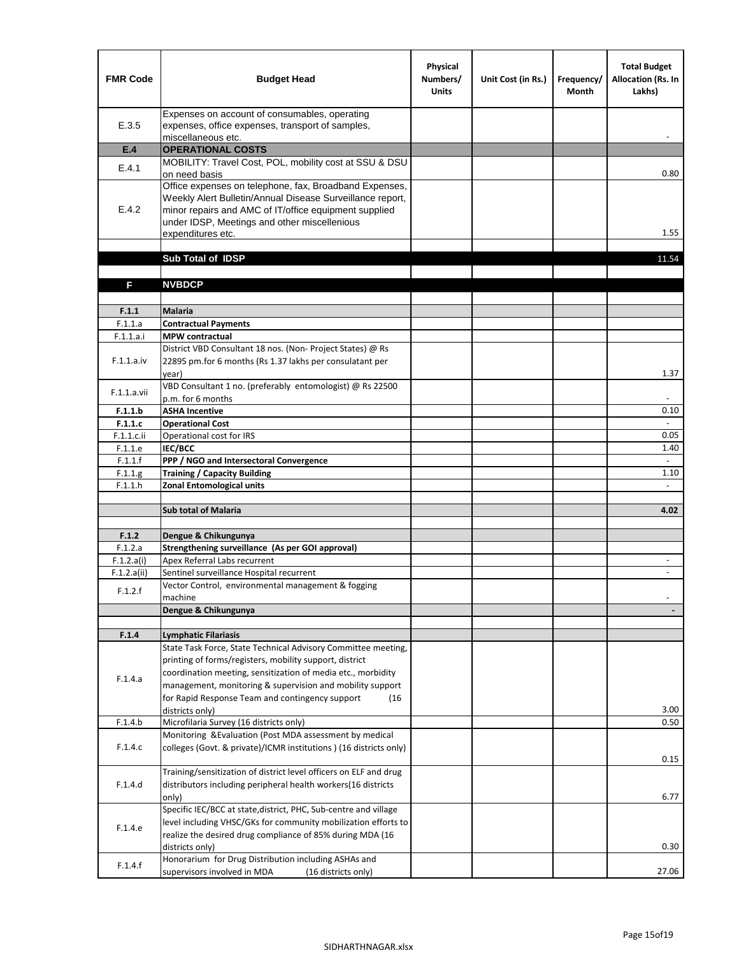| Expenses on account of consumables, operating<br>E.3.5<br>expenses, office expenses, transport of samples,<br>miscellaneous etc.<br><b>OPERATIONAL COSTS</b><br>E.4<br>MOBILITY: Travel Cost, POL, mobility cost at SSU & DSU<br>E.4.1<br>on need basis<br>0.80<br>Office expenses on telephone, fax, Broadband Expenses,<br>Weekly Alert Bulletin/Annual Disease Surveillance report,<br>E.4.2<br>minor repairs and AMC of IT/office equipment supplied<br>under IDSP, Meetings and other miscellenious<br>1.55<br>expenditures etc.<br>Sub Total of IDSP<br>11.54<br><b>NVBDCP</b><br>F<br>F.1.1<br><b>Malaria</b><br>F.1.1.a<br><b>Contractual Payments</b><br>F.1.1.a.i<br><b>MPW</b> contractual<br>District VBD Consultant 18 nos. (Non-Project States) @ Rs<br>F.1.1.a.iv<br>22895 pm.for 6 months (Rs 1.37 lakhs per consulatant per<br>year)<br>1.37<br>VBD Consultant 1 no. (preferably entomologist) @ Rs 22500<br>F.1.1.a.vii<br>p.m. for 6 months<br>F.1.1.b<br><b>ASHA Incentive</b><br>0.10<br>F.1.1.c<br><b>Operational Cost</b><br>F.1.1.c.ii<br>Operational cost for IRS<br>0.05<br><b>IEC/BCC</b><br>1.40<br>F.1.1.e<br>$\omega$<br>F.1.1.f<br>PPP / NGO and Intersectoral Convergence<br><b>Training / Capacity Building</b><br>F.1.1.g<br>1.10<br><b>Zonal Entomological units</b><br>F.1.1.h<br>÷<br><b>Sub total of Malaria</b><br>4.02<br>F.1.2<br>Dengue & Chikungunya<br>Strengthening surveillance (As per GOI approval)<br>F.1.2.a<br>F.1.2.a(i)<br>Apex Referral Labs recurrent<br>Sentinel surveillance Hospital recurrent<br>F.1.2.a(ii)<br>$\blacksquare$<br>Vector Control, environmental management & fogging<br>F.1.2.f<br>machine<br>Dengue & Chikungunya<br>F.1.4<br><b>Lymphatic Filariasis</b><br>State Task Force, State Technical Advisory Committee meeting,<br>printing of forms/registers, mobility support, district<br>coordination meeting, sensitization of media etc., morbidity<br>F.1.4.a<br>management, monitoring & supervision and mobility support<br>for Rapid Response Team and contingency support<br>(16)<br>3.00<br>districts only)<br>0.50<br>Microfilaria Survey (16 districts only)<br>F.1.4.b<br>Monitoring & Evaluation (Post MDA assessment by medical<br>F.1.4.c<br>colleges (Govt. & private)/ICMR institutions ) (16 districts only)<br>0.15<br>Training/sensitization of district level officers on ELF and drug | <b>FMR Code</b> | <b>Budget Head</b> | Physical<br>Numbers/<br><b>Units</b> | Unit Cost (in Rs.) | Frequency/<br>Month | <b>Total Budget</b><br><b>Allocation (Rs. In</b><br>Lakhs) |
|----------------------------------------------------------------------------------------------------------------------------------------------------------------------------------------------------------------------------------------------------------------------------------------------------------------------------------------------------------------------------------------------------------------------------------------------------------------------------------------------------------------------------------------------------------------------------------------------------------------------------------------------------------------------------------------------------------------------------------------------------------------------------------------------------------------------------------------------------------------------------------------------------------------------------------------------------------------------------------------------------------------------------------------------------------------------------------------------------------------------------------------------------------------------------------------------------------------------------------------------------------------------------------------------------------------------------------------------------------------------------------------------------------------------------------------------------------------------------------------------------------------------------------------------------------------------------------------------------------------------------------------------------------------------------------------------------------------------------------------------------------------------------------------------------------------------------------------------------------------------------------------------------------------------------------------------------------------------------------------------------------------------------------------------------------------------------------------------------------------------------------------------------------------------------------------------------------------------------------------------------------------------------------------------------------------------------------------------------------------------------------------|-----------------|--------------------|--------------------------------------|--------------------|---------------------|------------------------------------------------------------|
|                                                                                                                                                                                                                                                                                                                                                                                                                                                                                                                                                                                                                                                                                                                                                                                                                                                                                                                                                                                                                                                                                                                                                                                                                                                                                                                                                                                                                                                                                                                                                                                                                                                                                                                                                                                                                                                                                                                                                                                                                                                                                                                                                                                                                                                                                                                                                                                        |                 |                    |                                      |                    |                     |                                                            |
|                                                                                                                                                                                                                                                                                                                                                                                                                                                                                                                                                                                                                                                                                                                                                                                                                                                                                                                                                                                                                                                                                                                                                                                                                                                                                                                                                                                                                                                                                                                                                                                                                                                                                                                                                                                                                                                                                                                                                                                                                                                                                                                                                                                                                                                                                                                                                                                        |                 |                    |                                      |                    |                     |                                                            |
|                                                                                                                                                                                                                                                                                                                                                                                                                                                                                                                                                                                                                                                                                                                                                                                                                                                                                                                                                                                                                                                                                                                                                                                                                                                                                                                                                                                                                                                                                                                                                                                                                                                                                                                                                                                                                                                                                                                                                                                                                                                                                                                                                                                                                                                                                                                                                                                        |                 |                    |                                      |                    |                     |                                                            |
|                                                                                                                                                                                                                                                                                                                                                                                                                                                                                                                                                                                                                                                                                                                                                                                                                                                                                                                                                                                                                                                                                                                                                                                                                                                                                                                                                                                                                                                                                                                                                                                                                                                                                                                                                                                                                                                                                                                                                                                                                                                                                                                                                                                                                                                                                                                                                                                        |                 |                    |                                      |                    |                     |                                                            |
|                                                                                                                                                                                                                                                                                                                                                                                                                                                                                                                                                                                                                                                                                                                                                                                                                                                                                                                                                                                                                                                                                                                                                                                                                                                                                                                                                                                                                                                                                                                                                                                                                                                                                                                                                                                                                                                                                                                                                                                                                                                                                                                                                                                                                                                                                                                                                                                        |                 |                    |                                      |                    |                     |                                                            |
|                                                                                                                                                                                                                                                                                                                                                                                                                                                                                                                                                                                                                                                                                                                                                                                                                                                                                                                                                                                                                                                                                                                                                                                                                                                                                                                                                                                                                                                                                                                                                                                                                                                                                                                                                                                                                                                                                                                                                                                                                                                                                                                                                                                                                                                                                                                                                                                        |                 |                    |                                      |                    |                     |                                                            |
|                                                                                                                                                                                                                                                                                                                                                                                                                                                                                                                                                                                                                                                                                                                                                                                                                                                                                                                                                                                                                                                                                                                                                                                                                                                                                                                                                                                                                                                                                                                                                                                                                                                                                                                                                                                                                                                                                                                                                                                                                                                                                                                                                                                                                                                                                                                                                                                        |                 |                    |                                      |                    |                     |                                                            |
|                                                                                                                                                                                                                                                                                                                                                                                                                                                                                                                                                                                                                                                                                                                                                                                                                                                                                                                                                                                                                                                                                                                                                                                                                                                                                                                                                                                                                                                                                                                                                                                                                                                                                                                                                                                                                                                                                                                                                                                                                                                                                                                                                                                                                                                                                                                                                                                        |                 |                    |                                      |                    |                     |                                                            |
|                                                                                                                                                                                                                                                                                                                                                                                                                                                                                                                                                                                                                                                                                                                                                                                                                                                                                                                                                                                                                                                                                                                                                                                                                                                                                                                                                                                                                                                                                                                                                                                                                                                                                                                                                                                                                                                                                                                                                                                                                                                                                                                                                                                                                                                                                                                                                                                        |                 |                    |                                      |                    |                     |                                                            |
|                                                                                                                                                                                                                                                                                                                                                                                                                                                                                                                                                                                                                                                                                                                                                                                                                                                                                                                                                                                                                                                                                                                                                                                                                                                                                                                                                                                                                                                                                                                                                                                                                                                                                                                                                                                                                                                                                                                                                                                                                                                                                                                                                                                                                                                                                                                                                                                        |                 |                    |                                      |                    |                     |                                                            |
|                                                                                                                                                                                                                                                                                                                                                                                                                                                                                                                                                                                                                                                                                                                                                                                                                                                                                                                                                                                                                                                                                                                                                                                                                                                                                                                                                                                                                                                                                                                                                                                                                                                                                                                                                                                                                                                                                                                                                                                                                                                                                                                                                                                                                                                                                                                                                                                        |                 |                    |                                      |                    |                     |                                                            |
|                                                                                                                                                                                                                                                                                                                                                                                                                                                                                                                                                                                                                                                                                                                                                                                                                                                                                                                                                                                                                                                                                                                                                                                                                                                                                                                                                                                                                                                                                                                                                                                                                                                                                                                                                                                                                                                                                                                                                                                                                                                                                                                                                                                                                                                                                                                                                                                        |                 |                    |                                      |                    |                     |                                                            |
|                                                                                                                                                                                                                                                                                                                                                                                                                                                                                                                                                                                                                                                                                                                                                                                                                                                                                                                                                                                                                                                                                                                                                                                                                                                                                                                                                                                                                                                                                                                                                                                                                                                                                                                                                                                                                                                                                                                                                                                                                                                                                                                                                                                                                                                                                                                                                                                        |                 |                    |                                      |                    |                     |                                                            |
|                                                                                                                                                                                                                                                                                                                                                                                                                                                                                                                                                                                                                                                                                                                                                                                                                                                                                                                                                                                                                                                                                                                                                                                                                                                                                                                                                                                                                                                                                                                                                                                                                                                                                                                                                                                                                                                                                                                                                                                                                                                                                                                                                                                                                                                                                                                                                                                        |                 |                    |                                      |                    |                     |                                                            |
|                                                                                                                                                                                                                                                                                                                                                                                                                                                                                                                                                                                                                                                                                                                                                                                                                                                                                                                                                                                                                                                                                                                                                                                                                                                                                                                                                                                                                                                                                                                                                                                                                                                                                                                                                                                                                                                                                                                                                                                                                                                                                                                                                                                                                                                                                                                                                                                        |                 |                    |                                      |                    |                     |                                                            |
|                                                                                                                                                                                                                                                                                                                                                                                                                                                                                                                                                                                                                                                                                                                                                                                                                                                                                                                                                                                                                                                                                                                                                                                                                                                                                                                                                                                                                                                                                                                                                                                                                                                                                                                                                                                                                                                                                                                                                                                                                                                                                                                                                                                                                                                                                                                                                                                        |                 |                    |                                      |                    |                     |                                                            |
|                                                                                                                                                                                                                                                                                                                                                                                                                                                                                                                                                                                                                                                                                                                                                                                                                                                                                                                                                                                                                                                                                                                                                                                                                                                                                                                                                                                                                                                                                                                                                                                                                                                                                                                                                                                                                                                                                                                                                                                                                                                                                                                                                                                                                                                                                                                                                                                        |                 |                    |                                      |                    |                     |                                                            |
|                                                                                                                                                                                                                                                                                                                                                                                                                                                                                                                                                                                                                                                                                                                                                                                                                                                                                                                                                                                                                                                                                                                                                                                                                                                                                                                                                                                                                                                                                                                                                                                                                                                                                                                                                                                                                                                                                                                                                                                                                                                                                                                                                                                                                                                                                                                                                                                        |                 |                    |                                      |                    |                     |                                                            |
|                                                                                                                                                                                                                                                                                                                                                                                                                                                                                                                                                                                                                                                                                                                                                                                                                                                                                                                                                                                                                                                                                                                                                                                                                                                                                                                                                                                                                                                                                                                                                                                                                                                                                                                                                                                                                                                                                                                                                                                                                                                                                                                                                                                                                                                                                                                                                                                        |                 |                    |                                      |                    |                     |                                                            |
|                                                                                                                                                                                                                                                                                                                                                                                                                                                                                                                                                                                                                                                                                                                                                                                                                                                                                                                                                                                                                                                                                                                                                                                                                                                                                                                                                                                                                                                                                                                                                                                                                                                                                                                                                                                                                                                                                                                                                                                                                                                                                                                                                                                                                                                                                                                                                                                        |                 |                    |                                      |                    |                     |                                                            |
|                                                                                                                                                                                                                                                                                                                                                                                                                                                                                                                                                                                                                                                                                                                                                                                                                                                                                                                                                                                                                                                                                                                                                                                                                                                                                                                                                                                                                                                                                                                                                                                                                                                                                                                                                                                                                                                                                                                                                                                                                                                                                                                                                                                                                                                                                                                                                                                        |                 |                    |                                      |                    |                     |                                                            |
|                                                                                                                                                                                                                                                                                                                                                                                                                                                                                                                                                                                                                                                                                                                                                                                                                                                                                                                                                                                                                                                                                                                                                                                                                                                                                                                                                                                                                                                                                                                                                                                                                                                                                                                                                                                                                                                                                                                                                                                                                                                                                                                                                                                                                                                                                                                                                                                        |                 |                    |                                      |                    |                     |                                                            |
|                                                                                                                                                                                                                                                                                                                                                                                                                                                                                                                                                                                                                                                                                                                                                                                                                                                                                                                                                                                                                                                                                                                                                                                                                                                                                                                                                                                                                                                                                                                                                                                                                                                                                                                                                                                                                                                                                                                                                                                                                                                                                                                                                                                                                                                                                                                                                                                        |                 |                    |                                      |                    |                     |                                                            |
|                                                                                                                                                                                                                                                                                                                                                                                                                                                                                                                                                                                                                                                                                                                                                                                                                                                                                                                                                                                                                                                                                                                                                                                                                                                                                                                                                                                                                                                                                                                                                                                                                                                                                                                                                                                                                                                                                                                                                                                                                                                                                                                                                                                                                                                                                                                                                                                        |                 |                    |                                      |                    |                     |                                                            |
|                                                                                                                                                                                                                                                                                                                                                                                                                                                                                                                                                                                                                                                                                                                                                                                                                                                                                                                                                                                                                                                                                                                                                                                                                                                                                                                                                                                                                                                                                                                                                                                                                                                                                                                                                                                                                                                                                                                                                                                                                                                                                                                                                                                                                                                                                                                                                                                        |                 |                    |                                      |                    |                     |                                                            |
|                                                                                                                                                                                                                                                                                                                                                                                                                                                                                                                                                                                                                                                                                                                                                                                                                                                                                                                                                                                                                                                                                                                                                                                                                                                                                                                                                                                                                                                                                                                                                                                                                                                                                                                                                                                                                                                                                                                                                                                                                                                                                                                                                                                                                                                                                                                                                                                        |                 |                    |                                      |                    |                     |                                                            |
|                                                                                                                                                                                                                                                                                                                                                                                                                                                                                                                                                                                                                                                                                                                                                                                                                                                                                                                                                                                                                                                                                                                                                                                                                                                                                                                                                                                                                                                                                                                                                                                                                                                                                                                                                                                                                                                                                                                                                                                                                                                                                                                                                                                                                                                                                                                                                                                        |                 |                    |                                      |                    |                     |                                                            |
|                                                                                                                                                                                                                                                                                                                                                                                                                                                                                                                                                                                                                                                                                                                                                                                                                                                                                                                                                                                                                                                                                                                                                                                                                                                                                                                                                                                                                                                                                                                                                                                                                                                                                                                                                                                                                                                                                                                                                                                                                                                                                                                                                                                                                                                                                                                                                                                        |                 |                    |                                      |                    |                     |                                                            |
|                                                                                                                                                                                                                                                                                                                                                                                                                                                                                                                                                                                                                                                                                                                                                                                                                                                                                                                                                                                                                                                                                                                                                                                                                                                                                                                                                                                                                                                                                                                                                                                                                                                                                                                                                                                                                                                                                                                                                                                                                                                                                                                                                                                                                                                                                                                                                                                        |                 |                    |                                      |                    |                     |                                                            |
|                                                                                                                                                                                                                                                                                                                                                                                                                                                                                                                                                                                                                                                                                                                                                                                                                                                                                                                                                                                                                                                                                                                                                                                                                                                                                                                                                                                                                                                                                                                                                                                                                                                                                                                                                                                                                                                                                                                                                                                                                                                                                                                                                                                                                                                                                                                                                                                        |                 |                    |                                      |                    |                     |                                                            |
|                                                                                                                                                                                                                                                                                                                                                                                                                                                                                                                                                                                                                                                                                                                                                                                                                                                                                                                                                                                                                                                                                                                                                                                                                                                                                                                                                                                                                                                                                                                                                                                                                                                                                                                                                                                                                                                                                                                                                                                                                                                                                                                                                                                                                                                                                                                                                                                        |                 |                    |                                      |                    |                     |                                                            |
|                                                                                                                                                                                                                                                                                                                                                                                                                                                                                                                                                                                                                                                                                                                                                                                                                                                                                                                                                                                                                                                                                                                                                                                                                                                                                                                                                                                                                                                                                                                                                                                                                                                                                                                                                                                                                                                                                                                                                                                                                                                                                                                                                                                                                                                                                                                                                                                        |                 |                    |                                      |                    |                     |                                                            |
|                                                                                                                                                                                                                                                                                                                                                                                                                                                                                                                                                                                                                                                                                                                                                                                                                                                                                                                                                                                                                                                                                                                                                                                                                                                                                                                                                                                                                                                                                                                                                                                                                                                                                                                                                                                                                                                                                                                                                                                                                                                                                                                                                                                                                                                                                                                                                                                        |                 |                    |                                      |                    |                     |                                                            |
|                                                                                                                                                                                                                                                                                                                                                                                                                                                                                                                                                                                                                                                                                                                                                                                                                                                                                                                                                                                                                                                                                                                                                                                                                                                                                                                                                                                                                                                                                                                                                                                                                                                                                                                                                                                                                                                                                                                                                                                                                                                                                                                                                                                                                                                                                                                                                                                        |                 |                    |                                      |                    |                     |                                                            |
|                                                                                                                                                                                                                                                                                                                                                                                                                                                                                                                                                                                                                                                                                                                                                                                                                                                                                                                                                                                                                                                                                                                                                                                                                                                                                                                                                                                                                                                                                                                                                                                                                                                                                                                                                                                                                                                                                                                                                                                                                                                                                                                                                                                                                                                                                                                                                                                        |                 |                    |                                      |                    |                     |                                                            |
|                                                                                                                                                                                                                                                                                                                                                                                                                                                                                                                                                                                                                                                                                                                                                                                                                                                                                                                                                                                                                                                                                                                                                                                                                                                                                                                                                                                                                                                                                                                                                                                                                                                                                                                                                                                                                                                                                                                                                                                                                                                                                                                                                                                                                                                                                                                                                                                        |                 |                    |                                      |                    |                     |                                                            |
|                                                                                                                                                                                                                                                                                                                                                                                                                                                                                                                                                                                                                                                                                                                                                                                                                                                                                                                                                                                                                                                                                                                                                                                                                                                                                                                                                                                                                                                                                                                                                                                                                                                                                                                                                                                                                                                                                                                                                                                                                                                                                                                                                                                                                                                                                                                                                                                        |                 |                    |                                      |                    |                     |                                                            |
|                                                                                                                                                                                                                                                                                                                                                                                                                                                                                                                                                                                                                                                                                                                                                                                                                                                                                                                                                                                                                                                                                                                                                                                                                                                                                                                                                                                                                                                                                                                                                                                                                                                                                                                                                                                                                                                                                                                                                                                                                                                                                                                                                                                                                                                                                                                                                                                        |                 |                    |                                      |                    |                     |                                                            |
|                                                                                                                                                                                                                                                                                                                                                                                                                                                                                                                                                                                                                                                                                                                                                                                                                                                                                                                                                                                                                                                                                                                                                                                                                                                                                                                                                                                                                                                                                                                                                                                                                                                                                                                                                                                                                                                                                                                                                                                                                                                                                                                                                                                                                                                                                                                                                                                        |                 |                    |                                      |                    |                     |                                                            |
|                                                                                                                                                                                                                                                                                                                                                                                                                                                                                                                                                                                                                                                                                                                                                                                                                                                                                                                                                                                                                                                                                                                                                                                                                                                                                                                                                                                                                                                                                                                                                                                                                                                                                                                                                                                                                                                                                                                                                                                                                                                                                                                                                                                                                                                                                                                                                                                        |                 |                    |                                      |                    |                     |                                                            |
|                                                                                                                                                                                                                                                                                                                                                                                                                                                                                                                                                                                                                                                                                                                                                                                                                                                                                                                                                                                                                                                                                                                                                                                                                                                                                                                                                                                                                                                                                                                                                                                                                                                                                                                                                                                                                                                                                                                                                                                                                                                                                                                                                                                                                                                                                                                                                                                        |                 |                    |                                      |                    |                     |                                                            |
| F.1.4.d<br>distributors including peripheral health workers(16 districts                                                                                                                                                                                                                                                                                                                                                                                                                                                                                                                                                                                                                                                                                                                                                                                                                                                                                                                                                                                                                                                                                                                                                                                                                                                                                                                                                                                                                                                                                                                                                                                                                                                                                                                                                                                                                                                                                                                                                                                                                                                                                                                                                                                                                                                                                                               |                 |                    |                                      |                    |                     |                                                            |
| 6.77<br>only)                                                                                                                                                                                                                                                                                                                                                                                                                                                                                                                                                                                                                                                                                                                                                                                                                                                                                                                                                                                                                                                                                                                                                                                                                                                                                                                                                                                                                                                                                                                                                                                                                                                                                                                                                                                                                                                                                                                                                                                                                                                                                                                                                                                                                                                                                                                                                                          |                 |                    |                                      |                    |                     |                                                            |
| Specific IEC/BCC at state, district, PHC, Sub-centre and village                                                                                                                                                                                                                                                                                                                                                                                                                                                                                                                                                                                                                                                                                                                                                                                                                                                                                                                                                                                                                                                                                                                                                                                                                                                                                                                                                                                                                                                                                                                                                                                                                                                                                                                                                                                                                                                                                                                                                                                                                                                                                                                                                                                                                                                                                                                       |                 |                    |                                      |                    |                     |                                                            |
| level including VHSC/GKs for community mobilization efforts to<br>F.1.4.e                                                                                                                                                                                                                                                                                                                                                                                                                                                                                                                                                                                                                                                                                                                                                                                                                                                                                                                                                                                                                                                                                                                                                                                                                                                                                                                                                                                                                                                                                                                                                                                                                                                                                                                                                                                                                                                                                                                                                                                                                                                                                                                                                                                                                                                                                                              |                 |                    |                                      |                    |                     |                                                            |
| realize the desired drug compliance of 85% during MDA (16                                                                                                                                                                                                                                                                                                                                                                                                                                                                                                                                                                                                                                                                                                                                                                                                                                                                                                                                                                                                                                                                                                                                                                                                                                                                                                                                                                                                                                                                                                                                                                                                                                                                                                                                                                                                                                                                                                                                                                                                                                                                                                                                                                                                                                                                                                                              |                 |                    |                                      |                    |                     |                                                            |
| 0.30<br>districts only)                                                                                                                                                                                                                                                                                                                                                                                                                                                                                                                                                                                                                                                                                                                                                                                                                                                                                                                                                                                                                                                                                                                                                                                                                                                                                                                                                                                                                                                                                                                                                                                                                                                                                                                                                                                                                                                                                                                                                                                                                                                                                                                                                                                                                                                                                                                                                                |                 |                    |                                      |                    |                     |                                                            |
| Honorarium for Drug Distribution including ASHAs and<br>F.1.4.f<br>27.06<br>supervisors involved in MDA<br>(16 districts only)                                                                                                                                                                                                                                                                                                                                                                                                                                                                                                                                                                                                                                                                                                                                                                                                                                                                                                                                                                                                                                                                                                                                                                                                                                                                                                                                                                                                                                                                                                                                                                                                                                                                                                                                                                                                                                                                                                                                                                                                                                                                                                                                                                                                                                                         |                 |                    |                                      |                    |                     |                                                            |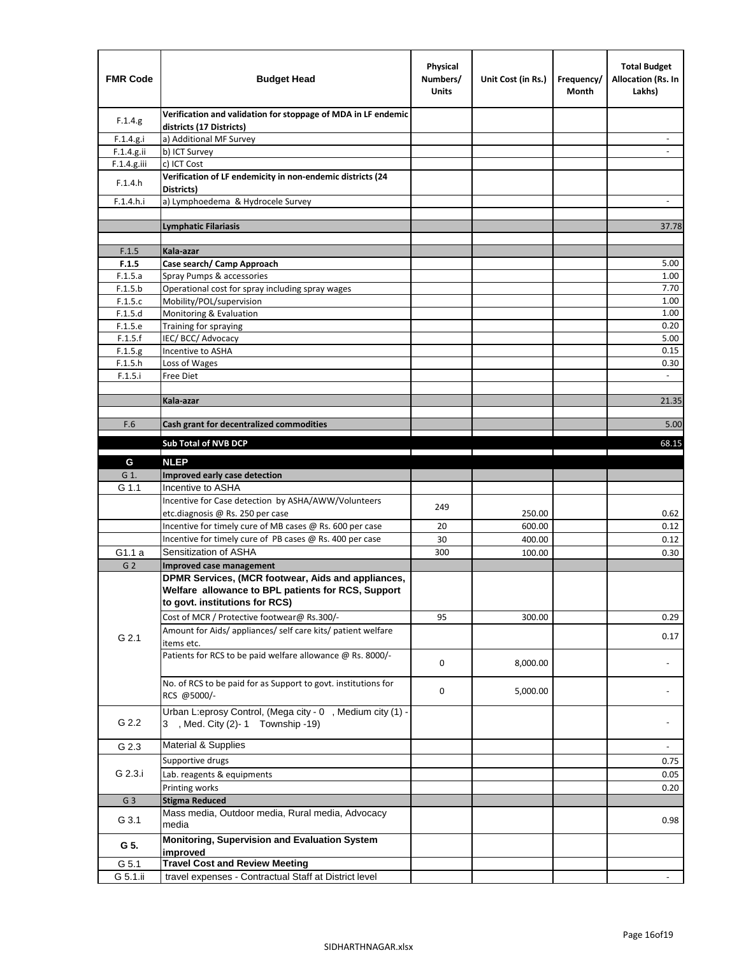| <b>FMR Code</b>    | <b>Budget Head</b>                                                                        | Physical<br>Numbers/<br><b>Units</b> | Unit Cost (in Rs.) | Frequency/<br>Month | <b>Total Budget</b><br><b>Allocation (Rs. In</b><br>Lakhs) |
|--------------------|-------------------------------------------------------------------------------------------|--------------------------------------|--------------------|---------------------|------------------------------------------------------------|
| F.1.4.g.           | Verification and validation for stoppage of MDA in LF endemic<br>districts (17 Districts) |                                      |                    |                     |                                                            |
| F.1.4.g.i          | a) Additional MF Survey                                                                   |                                      |                    |                     |                                                            |
| F.1.4.g.ii         | b) ICT Survey                                                                             |                                      |                    |                     |                                                            |
| $F.1.4.g.$ iii     | c) ICT Cost                                                                               |                                      |                    |                     |                                                            |
| F.1.4.h            | Verification of LF endemicity in non-endemic districts (24<br>Districts)                  |                                      |                    |                     |                                                            |
| F.1.4.h.i          | a) Lymphoedema & Hydrocele Survey                                                         |                                      |                    |                     |                                                            |
|                    | <b>Lymphatic Filariasis</b>                                                               |                                      |                    |                     | 37.78                                                      |
|                    |                                                                                           |                                      |                    |                     |                                                            |
| F.1.5              | Kala-azar                                                                                 |                                      |                    |                     |                                                            |
| F.1.5              | Case search/ Camp Approach                                                                |                                      |                    |                     | 5.00                                                       |
| F.1.5.a            | Spray Pumps & accessories                                                                 |                                      |                    |                     | 1.00                                                       |
| F.1.5.b            | Operational cost for spray including spray wages                                          |                                      |                    |                     | 7.70                                                       |
| F.1.5.c            | Mobility/POL/supervision                                                                  |                                      |                    |                     | 1.00                                                       |
| F.1.5.d            | Monitoring & Evaluation                                                                   |                                      |                    |                     | 1.00                                                       |
| F.1.5.e            | Training for spraying                                                                     |                                      |                    |                     | 0.20                                                       |
| F.1.5.f            | IEC/BCC/Advocacy                                                                          |                                      |                    |                     | 5.00                                                       |
| F.1.5.g            | Incentive to ASHA                                                                         |                                      |                    |                     | 0.15                                                       |
| F.1.5.h<br>F.1.5.i | Loss of Wages<br>Free Diet                                                                |                                      |                    |                     | 0.30                                                       |
|                    |                                                                                           |                                      |                    |                     |                                                            |
|                    | Kala-azar                                                                                 |                                      |                    |                     | 21.35                                                      |
|                    |                                                                                           |                                      |                    |                     |                                                            |
| F.6                | Cash grant for decentralized commodities                                                  |                                      |                    |                     | 5.00                                                       |
|                    | <b>Sub Total of NVB DCP</b>                                                               |                                      |                    |                     | 68.15                                                      |
|                    |                                                                                           |                                      |                    |                     |                                                            |
| G                  | <b>NLEP</b>                                                                               |                                      |                    |                     |                                                            |
| G 1.               | Improved early case detection                                                             |                                      |                    |                     |                                                            |
| G 1.1              | Incentive to ASHA                                                                         |                                      |                    |                     |                                                            |
|                    | Incentive for Case detection by ASHA/AWW/Volunteers                                       | 249                                  |                    |                     |                                                            |
|                    | etc.diagnosis @ Rs. 250 per case                                                          |                                      | 250.00             |                     | 0.62                                                       |
|                    | Incentive for timely cure of MB cases @ Rs. 600 per case                                  | 20                                   | 600.00             |                     | 0.12                                                       |
|                    | Incentive for timely cure of PB cases @ Rs. 400 per case                                  | 30                                   | 400.00             |                     | 0.12                                                       |
| G1.1 a             | Sensitization of ASHA                                                                     | 300                                  | 100.00             |                     | 0.30                                                       |
| G <sub>2</sub>     | Improved case management                                                                  |                                      |                    |                     |                                                            |
|                    | DPMR Services, (MCR footwear, Aids and appliances,                                        |                                      |                    |                     |                                                            |
|                    | Welfare allowance to BPL patients for RCS, Support<br>to govt. institutions for RCS)      |                                      |                    |                     |                                                            |
|                    | Cost of MCR / Protective footwear@ Rs.300/-                                               | 95                                   | 300.00             |                     | 0.29                                                       |
|                    | Amount for Aids/ appliances/ self care kits/ patient welfare                              |                                      |                    |                     |                                                            |
| G 2.1              | items etc.                                                                                |                                      |                    |                     | 0.17                                                       |
|                    | Patients for RCS to be paid welfare allowance @ Rs. 8000/-                                | 0                                    | 8,000.00           |                     |                                                            |
|                    |                                                                                           |                                      |                    |                     |                                                            |
|                    | No. of RCS to be paid for as Support to govt. institutions for                            | 0                                    | 5,000.00           |                     |                                                            |
|                    | RCS @5000/-                                                                               |                                      |                    |                     |                                                            |
|                    | Urban L:eprosy Control, (Mega city - 0, Medium city (1) -                                 |                                      |                    |                     |                                                            |
| G 2.2              | 3 , Med. City (2)-1 Township -19)                                                         |                                      |                    |                     |                                                            |
| G 2.3              | <b>Material &amp; Supplies</b>                                                            |                                      |                    |                     | $\overline{\phantom{a}}$                                   |
|                    | Supportive drugs                                                                          |                                      |                    |                     | 0.75                                                       |
| G 2.3.i            | Lab. reagents & equipments                                                                |                                      |                    |                     | 0.05                                                       |
|                    | Printing works                                                                            |                                      |                    |                     | 0.20                                                       |
| G <sub>3</sub>     | <b>Stigma Reduced</b>                                                                     |                                      |                    |                     |                                                            |
|                    | Mass media, Outdoor media, Rural media, Advocacy                                          |                                      |                    |                     |                                                            |
| G 3.1              | media                                                                                     |                                      |                    |                     | 0.98                                                       |
| G 5.               | Monitoring, Supervision and Evaluation System<br>improved                                 |                                      |                    |                     |                                                            |
| G 5.1              | <b>Travel Cost and Review Meeting</b>                                                     |                                      |                    |                     |                                                            |
| G 5.1.ii           | travel expenses - Contractual Staff at District level                                     |                                      |                    |                     |                                                            |
|                    |                                                                                           |                                      |                    |                     |                                                            |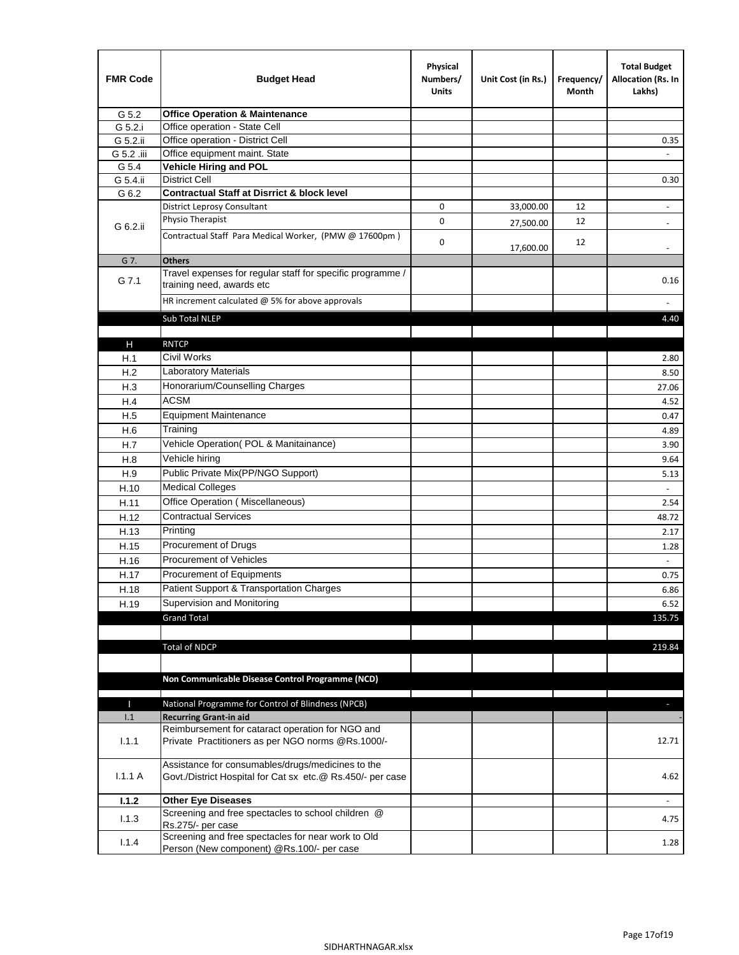| <b>FMR Code</b> | <b>Budget Head</b>                                                                                              | Physical<br>Numbers/<br><b>Units</b> | Unit Cost (in Rs.) | Frequency/<br>Month | <b>Total Budget</b><br>Allocation (Rs. In<br>Lakhs) |
|-----------------|-----------------------------------------------------------------------------------------------------------------|--------------------------------------|--------------------|---------------------|-----------------------------------------------------|
| G 5.2           | <b>Office Operation &amp; Maintenance</b>                                                                       |                                      |                    |                     |                                                     |
| G 5.2.i         | Office operation - State Cell                                                                                   |                                      |                    |                     |                                                     |
| G 5.2.ii        | Office operation - District Cell                                                                                |                                      |                    |                     | 0.35                                                |
| G 5.2 .iii      | Office equipment maint. State                                                                                   |                                      |                    |                     |                                                     |
| G 5.4           | <b>Vehicle Hiring and POL</b>                                                                                   |                                      |                    |                     |                                                     |
| G 5.4.ii        | <b>District Cell</b>                                                                                            |                                      |                    |                     | 0.30                                                |
| G 6.2           | <b>Contractual Staff at Disrrict &amp; block level</b>                                                          |                                      |                    |                     |                                                     |
|                 | <b>District Leprosy Consultant</b>                                                                              | 0                                    | 33,000.00          | 12                  | $\overline{\phantom{a}}$                            |
| G 6.2.ii        | Physio Therapist                                                                                                | 0                                    | 27,500.00          | 12                  |                                                     |
|                 | Contractual Staff Para Medical Worker, (PMW @ 17600pm)                                                          | 0                                    | 17,600.00          | 12                  | $\overline{\phantom{a}}$                            |
| G 7.            | <b>Others</b>                                                                                                   |                                      |                    |                     |                                                     |
| G 7.1           | Travel expenses for regular staff for specific programme /<br>training need, awards etc                         |                                      |                    |                     | 0.16                                                |
|                 | HR increment calculated $@$ 5% for above approvals                                                              |                                      |                    |                     |                                                     |
|                 | Sub Total NLEP                                                                                                  |                                      |                    |                     | 4.40                                                |
|                 |                                                                                                                 |                                      |                    |                     |                                                     |
| н               | <b>RNTCP</b>                                                                                                    |                                      |                    |                     |                                                     |
| H.1             | Civil Works                                                                                                     |                                      |                    |                     | 2.80                                                |
| H.2             | <b>Laboratory Materials</b>                                                                                     |                                      |                    |                     | 8.50                                                |
| H.3             | Honorarium/Counselling Charges                                                                                  |                                      |                    |                     | 27.06                                               |
| H.4             | <b>ACSM</b>                                                                                                     |                                      |                    |                     | 4.52                                                |
| H.5             | <b>Equipment Maintenance</b>                                                                                    |                                      |                    |                     | 0.47                                                |
| H.6             | Training                                                                                                        |                                      |                    |                     | 4.89                                                |
| H.7             | Vehicle Operation(POL & Manitainance)                                                                           |                                      |                    |                     | 3.90                                                |
| H.8             | Vehicle hiring                                                                                                  |                                      |                    |                     | 9.64                                                |
| H.9             | Public Private Mix(PP/NGO Support)                                                                              |                                      |                    |                     | 5.13                                                |
| H.10            | <b>Medical Colleges</b>                                                                                         |                                      |                    |                     | $\blacksquare$                                      |
| H.11            | Office Operation (Miscellaneous)                                                                                |                                      |                    |                     | 2.54                                                |
|                 | <b>Contractual Services</b>                                                                                     |                                      |                    |                     | 48.72                                               |
| H.12            | Printing                                                                                                        |                                      |                    |                     |                                                     |
| H.13            | Procurement of Drugs                                                                                            |                                      |                    |                     | 2.17                                                |
| H.15            | Procurement of Vehicles                                                                                         |                                      |                    |                     | 1.28                                                |
| H.16            |                                                                                                                 |                                      |                    |                     | $\omega$                                            |
| H.17            | Procurement of Equipments                                                                                       |                                      |                    |                     | 0.75                                                |
| H.18            | Patient Support & Transportation Charges                                                                        |                                      |                    |                     | 6.86                                                |
| H.19            | Supervision and Monitoring                                                                                      |                                      |                    |                     | 6.52                                                |
|                 | <b>Grand Total</b>                                                                                              |                                      |                    |                     | 135.75                                              |
|                 |                                                                                                                 |                                      |                    |                     |                                                     |
|                 | <b>Total of NDCP</b>                                                                                            |                                      |                    |                     | 219.84                                              |
|                 | Non Communicable Disease Control Programme (NCD)                                                                |                                      |                    |                     |                                                     |
| Т               | National Programme for Control of Blindness (NPCB)                                                              |                                      |                    |                     | ٠                                                   |
| 1.1             | <b>Recurring Grant-in aid</b>                                                                                   |                                      |                    |                     |                                                     |
|                 | Reimbursement for cataract operation for NGO and                                                                |                                      |                    |                     |                                                     |
| 1.1.1           | Private Practitioners as per NGO norms @Rs.1000/-                                                               |                                      |                    |                     | 12.71                                               |
| 1.1.1A          | Assistance for consumables/drugs/medicines to the<br>Govt./District Hospital for Cat sx etc.@ Rs.450/- per case |                                      |                    |                     | 4.62                                                |
| 1.1.2           | <b>Other Eye Diseases</b>                                                                                       |                                      |                    |                     |                                                     |
| 1.1.3           | Screening and free spectacles to school children @                                                              |                                      |                    |                     | 4.75                                                |
|                 | Rs.275/- per case                                                                                               |                                      |                    |                     |                                                     |
| 1.1.4           | Screening and free spectacles for near work to Old                                                              |                                      |                    |                     | 1.28                                                |
|                 | Person (New component) @Rs.100/- per case                                                                       |                                      |                    |                     |                                                     |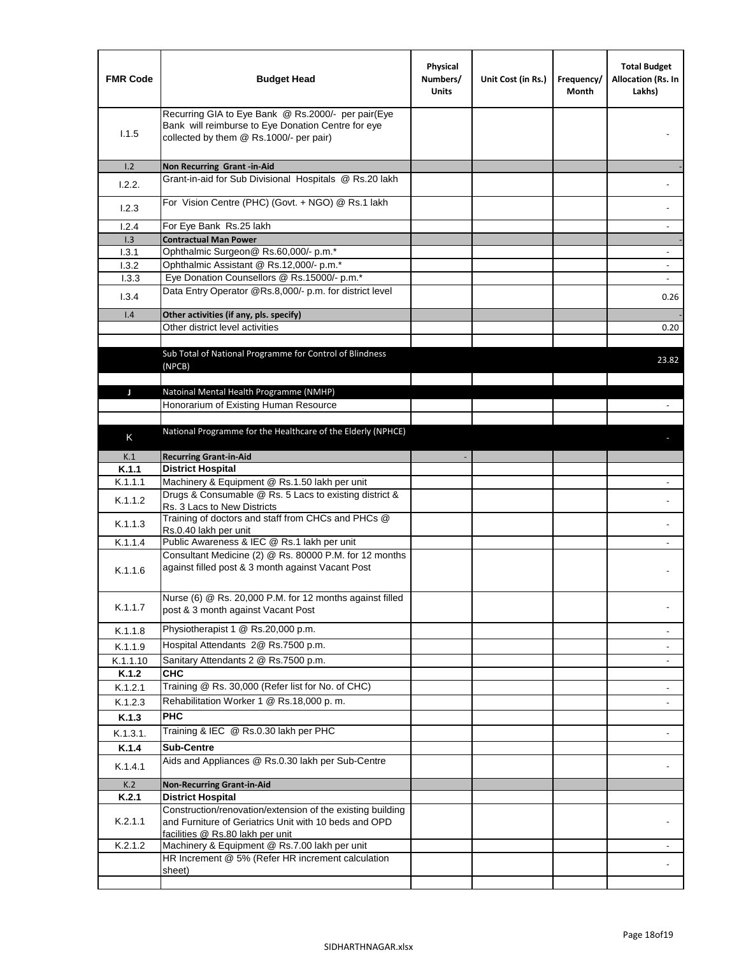| <b>FMR Code</b> | <b>Budget Head</b>                                                                                                                                      | Physical<br>Numbers/<br><b>Units</b> | Unit Cost (in Rs.) | Frequency/<br>Month | <b>Total Budget</b><br>Allocation (Rs. In<br>Lakhs) |
|-----------------|---------------------------------------------------------------------------------------------------------------------------------------------------------|--------------------------------------|--------------------|---------------------|-----------------------------------------------------|
| 1.1.5           | Recurring GIA to Eye Bank @ Rs.2000/- per pair(Eye<br>Bank will reimburse to Eye Donation Centre for eye<br>collected by them @ Rs.1000/- per pair)     |                                      |                    |                     |                                                     |
| 1.2             | Non Recurring Grant -in-Aid                                                                                                                             |                                      |                    |                     |                                                     |
| 1.2.2.          | Grant-in-aid for Sub Divisional Hospitals @ Rs.20 lakh                                                                                                  |                                      |                    |                     |                                                     |
| 1.2.3           | For Vision Centre (PHC) (Govt. + NGO) @ Rs.1 lakh                                                                                                       |                                      |                    |                     |                                                     |
| 1.2.4           | For Eye Bank Rs.25 lakh                                                                                                                                 |                                      |                    |                     | ÷.                                                  |
| 1.3             | <b>Contractual Man Power</b>                                                                                                                            |                                      |                    |                     |                                                     |
| 1.3.1           | Ophthalmic Surgeon@ Rs.60,000/- p.m.*                                                                                                                   |                                      |                    |                     | $\overline{\phantom{a}}$                            |
| 1.3.2           | Ophthalmic Assistant @ Rs.12,000/- p.m.*                                                                                                                |                                      |                    |                     |                                                     |
| 1.3.3           | Eye Donation Counsellors @ Rs.15000/- p.m.*                                                                                                             |                                      |                    |                     | $\overline{\phantom{a}}$                            |
| 1.3.4           | Data Entry Operator @Rs.8,000/- p.m. for district level                                                                                                 |                                      |                    |                     | 0.26                                                |
| 1.4             | Other activities (if any, pls. specify)                                                                                                                 |                                      |                    |                     |                                                     |
|                 | Other district level activities                                                                                                                         |                                      |                    |                     | 0.20                                                |
|                 | Sub Total of National Programme for Control of Blindness<br>(NPCB)                                                                                      |                                      |                    |                     | 23.82                                               |
|                 |                                                                                                                                                         |                                      |                    |                     |                                                     |
| J               | Natoinal Mental Health Programme (NMHP)<br>Honorarium of Existing Human Resource                                                                        |                                      |                    |                     |                                                     |
|                 |                                                                                                                                                         |                                      |                    |                     |                                                     |
|                 | National Programme for the Healthcare of the Elderly (NPHCE)                                                                                            |                                      |                    |                     |                                                     |
| K               |                                                                                                                                                         |                                      |                    |                     |                                                     |
| K.1             | <b>Recurring Grant-in-Aid</b>                                                                                                                           |                                      |                    |                     |                                                     |
| K.1.1           | <b>District Hospital</b>                                                                                                                                |                                      |                    |                     |                                                     |
| K.1.1.1         | Machinery & Equipment @ Rs.1.50 lakh per unit                                                                                                           |                                      |                    |                     |                                                     |
| K.1.1.2         | Drugs & Consumable @ Rs. 5 Lacs to existing district &<br>Rs. 3 Lacs to New Districts                                                                   |                                      |                    |                     |                                                     |
| K.1.1.3         | Training of doctors and staff from CHCs and PHCs @<br>Rs.0.40 lakh per unit                                                                             |                                      |                    |                     |                                                     |
| K.1.1.4         | Public Awareness & IEC @ Rs.1 lakh per unit                                                                                                             |                                      |                    |                     |                                                     |
| K.1.1.6         | Consultant Medicine (2) @ Rs. 80000 P.M. for 12 months<br>against filled post & 3 month against Vacant Post                                             |                                      |                    |                     |                                                     |
| K.1.1.7         | Nurse (6) @ Rs. 20,000 P.M. for 12 months against filled<br>post & 3 month against Vacant Post                                                          |                                      |                    |                     |                                                     |
| K.1.1.8         | Physiotherapist 1 @ Rs.20,000 p.m.                                                                                                                      |                                      |                    |                     |                                                     |
| K.1.1.9         | Hospital Attendants 2@ Rs.7500 p.m.                                                                                                                     |                                      |                    |                     |                                                     |
| K.1.1.10        | Sanitary Attendants 2 @ Rs.7500 p.m.                                                                                                                    |                                      |                    |                     | $\overline{\phantom{a}}$                            |
| K.1.2           | <b>CHC</b>                                                                                                                                              |                                      |                    |                     |                                                     |
| K.1.2.1         | Training @ Rs. 30,000 (Refer list for No. of CHC)                                                                                                       |                                      |                    |                     |                                                     |
| K.1.2.3         | Rehabilitation Worker 1 @ Rs.18,000 p. m.                                                                                                               |                                      |                    |                     |                                                     |
| K.1.3           | <b>PHC</b>                                                                                                                                              |                                      |                    |                     |                                                     |
| K.1.3.1.        | Training & IEC @ Rs.0.30 lakh per PHC                                                                                                                   |                                      |                    |                     |                                                     |
| K.1.4           | <b>Sub-Centre</b>                                                                                                                                       |                                      |                    |                     |                                                     |
|                 | Aids and Appliances @ Rs.0.30 lakh per Sub-Centre                                                                                                       |                                      |                    |                     |                                                     |
| K.1.4.1         |                                                                                                                                                         |                                      |                    |                     |                                                     |
| K.2             | <b>Non-Recurring Grant-in-Aid</b>                                                                                                                       |                                      |                    |                     |                                                     |
| K.2.1           | <b>District Hospital</b>                                                                                                                                |                                      |                    |                     |                                                     |
| K.2.1.1         | Construction/renovation/extension of the existing building<br>and Furniture of Geriatrics Unit with 10 beds and OPD<br>facilities @ Rs.80 lakh per unit |                                      |                    |                     |                                                     |
| K.2.1.2         | Machinery & Equipment @ Rs.7.00 lakh per unit                                                                                                           |                                      |                    |                     |                                                     |
|                 | HR Increment @ 5% (Refer HR increment calculation                                                                                                       |                                      |                    |                     |                                                     |
|                 | sheet)                                                                                                                                                  |                                      |                    |                     |                                                     |
|                 |                                                                                                                                                         |                                      |                    |                     |                                                     |